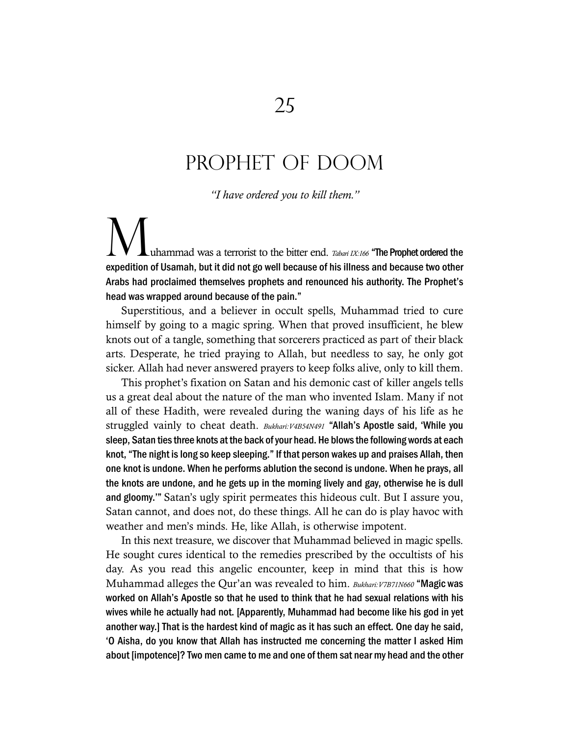## PROPHET OF DOOM

*"I have ordered you to kill them."*

muhammad was a terrorist to the bitter end. *Tabari IX:166* "The Prophet ordered the expedition of Usamah, but it did not go well because of his illness and because two other Arabs had proclaimed themselves prophets and renounced his authority. The Prophet's head was wrapped around because of the pain."

Superstitious, and a believer in occult spells, Muhammad tried to cure himself by going to a magic spring. When that proved insufficient, he blew knots out of a tangle, something that sorcerers practiced as part of their black arts. Desperate, he tried praying to Allah, but needless to say, he only got sicker. Allah had never answered prayers to keep folks alive, only to kill them.

This prophet's fixation on Satan and his demonic cast of killer angels tells us a great deal about the nature of the man who invented Islam. Many if not all of these Hadith, were revealed during the waning days of his life as he struggled vainly to cheat death. *Bukhari:V4B54N491* "Allah's Apostle said, 'While you sleep, Satan ties three knots at the back of your head. He blows the following words at each knot, "The night is long so keep sleeping." If that person wakes up and praises Allah, then one knot is undone. When he performs ablution the second is undone. When he prays, all the knots are undone, and he gets up in the morning lively and gay, otherwise he is dull and gloomy.'" Satan's ugly spirit permeates this hideous cult. But I assure you, Satan cannot, and does not, do these things. All he can do is play havoc with weather and men's minds. He, like Allah, is otherwise impotent.

In this next treasure, we discover that Muhammad believed in magic spells. He sought cures identical to the remedies prescribed by the occultists of his day. As you read this angelic encounter, keep in mind that this is how Muhammad alleges the Qur'an was revealed to him. *Bukhari:V7B71N660* "Magic was worked on Allah's Apostle so that he used to think that he had sexual relations with his wives while he actually had not. [Apparently, Muhammad had become like his god in yet another way.] That is the hardest kind of magic as it has such an effect. One day he said, 'O Aisha, do you know that Allah has instructed me concerning the matter I asked Him about [impotence]? Two men came to me and one of them sat near my head and the other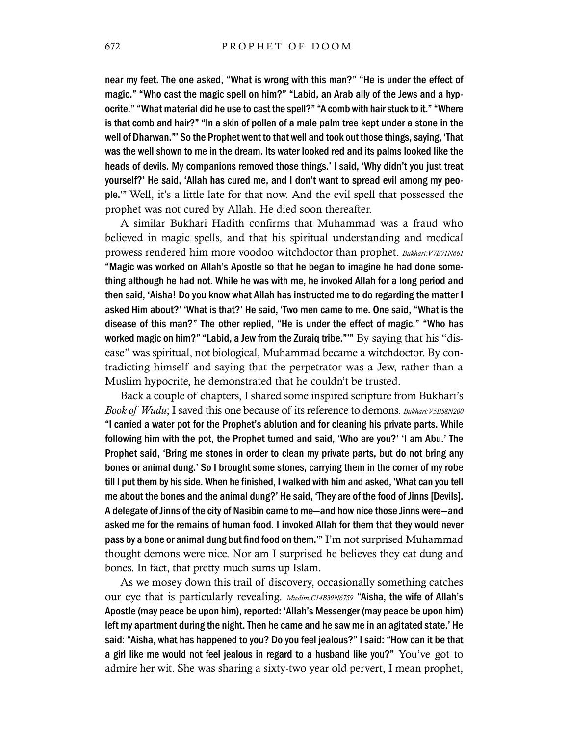near my feet. The one asked, "What is wrong with this man?" "He is under the effect of magic." "Who cast the magic spell on him?" "Labid, an Arab ally of the Jews and a hypocrite." "What material did he use to cast the spell?" "A comb with hair stuck to it." "Where is that comb and hair?" "In a skin of pollen of a male palm tree kept under a stone in the well of Dharwan."' So the Prophet went to that well and took out those things, saying, 'That was the well shown to me in the dream. Its water looked red and its palms looked like the heads of devils. My companions removed those things.' I said, 'Why didn't you just treat yourself?' He said, 'Allah has cured me, and I don't want to spread evil among my people.'" Well, it's a little late for that now. And the evil spell that possessed the prophet was not cured by Allah. He died soon thereafter.

A similar Bukhari Hadith confirms that Muhammad was a fraud who believed in magic spells, and that his spiritual understanding and medical prowess rendered him more voodoo witchdoctor than prophet. *Bukhari:V7B71N661* "Magic was worked on Allah's Apostle so that he began to imagine he had done something although he had not. While he was with me, he invoked Allah for a long period and then said, 'Aisha! Do you know what Allah has instructed me to do regarding the matter I asked Him about?' 'What is that?' He said, 'Two men came to me. One said, "What is the disease of this man?" The other replied, "He is under the effect of magic." "Who has worked magic on him?" "Labid, a Jew from the Zuraiq tribe."" By saying that his "disease" was spiritual, not biological, Muhammad became a witchdoctor. By contradicting himself and saying that the perpetrator was a Jew, rather than a Muslim hypocrite, he demonstrated that he couldn't be trusted.

Back a couple of chapters, I shared some inspired scripture from Bukhari's *Book of Wudu*; I saved this one because of its reference to demons. *Bukhari:V5B58N200* "I carried a water pot for the Prophet's ablution and for cleaning his private parts. While following him with the pot, the Prophet turned and said, 'Who are you?' 'I am Abu.' The Prophet said, 'Bring me stones in order to clean my private parts, but do not bring any bones or animal dung.' So I brought some stones, carrying them in the corner of my robe till I put them by his side. When he finished, I walked with him and asked, 'What can you tell me about the bones and the animal dung?' He said, 'They are of the food of Jinns [Devils]. A delegate of Jinns of the city of Nasibin came to me—and how nice those Jinns were—and asked me for the remains of human food. I invoked Allah for them that they would never pass by a bone or animal dung but find food on them.'" I'm not surprised Muhammad thought demons were nice. Nor am I surprised he believes they eat dung and bones. In fact, that pretty much sums up Islam.

As we mosey down this trail of discovery, occasionally something catches our eye that is particularly revealing. *Muslim:C14B39N6759* "Aisha, the wife of Allah's Apostle (may peace be upon him), reported: 'Allah's Messenger (may peace be upon him) left my apartment during the night. Then he came and he saw me in an agitated state.' He said: "Aisha, what has happened to you? Do you feel jealous?" I said: "How can it be that a girl like me would not feel jealous in regard to a husband like you?" You've got to admire her wit. She was sharing a sixty-two year old pervert, I mean prophet,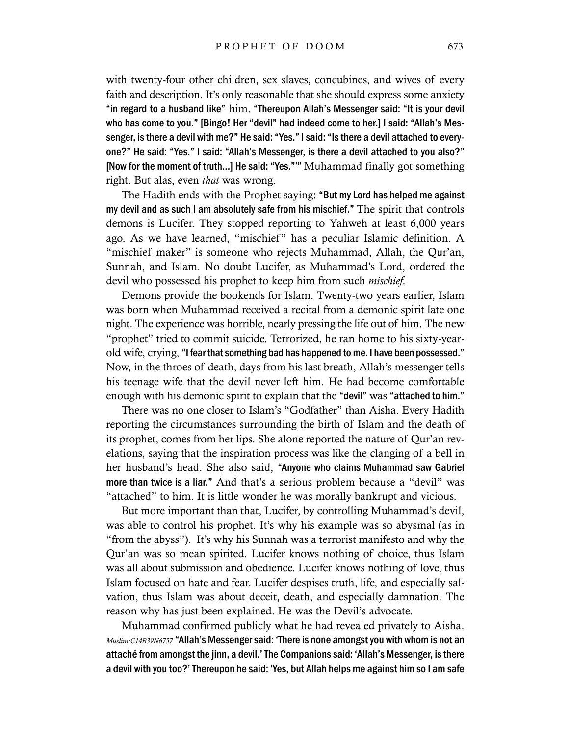with twenty-four other children, sex slaves, concubines, and wives of every faith and description. It's only reasonable that she should express some anxiety "in regard to a husband like" him. "Thereupon Allah's Messenger said: "It is your devil who has come to you." [Bingo! Her "devil" had indeed come to her.] I said: "Allah's Messenger, is there a devil with me?" He said: "Yes." I said: "Is there a devil attached to everyone?" He said: "Yes." I said: "Allah's Messenger, is there a devil attached to you also?" [Now for the moment of truth…] He said: "Yes."'" Muhammad finally got something right. But alas, even *that* was wrong.

The Hadith ends with the Prophet saying: "But my Lord has helped me against my devil and as such I am absolutely safe from his mischief." The spirit that controls demons is Lucifer. They stopped reporting to Yahweh at least 6,000 years ago. As we have learned, "mischief" has a peculiar Islamic definition. A "mischief maker" is someone who rejects Muhammad, Allah, the Qur'an, Sunnah, and Islam. No doubt Lucifer, as Muhammad's Lord, ordered the devil who possessed his prophet to keep him from such *mischief*.

Demons provide the bookends for Islam. Twenty-two years earlier, Islam was born when Muhammad received a recital from a demonic spirit late one night. The experience was horrible, nearly pressing the life out of him. The new "prophet" tried to commit suicide. Terrorized, he ran home to his sixty-yearold wife, crying, "I fear that something bad has happened to me. I have been possessed." Now, in the throes of death, days from his last breath, Allah's messenger tells his teenage wife that the devil never left him. He had become comfortable enough with his demonic spirit to explain that the "devil" was "attached to him."

There was no one closer to Islam's "Godfather" than Aisha. Every Hadith reporting the circumstances surrounding the birth of Islam and the death of its prophet, comes from her lips. She alone reported the nature of Qur'an revelations, saying that the inspiration process was like the clanging of a bell in her husband's head. She also said, "Anyone who claims Muhammad saw Gabriel more than twice is a liar." And that's a serious problem because a "devil" was "attached" to him. It is little wonder he was morally bankrupt and vicious.

But more important than that, Lucifer, by controlling Muhammad's devil, was able to control his prophet. It's why his example was so abysmal (as in "from the abyss"). It's why his Sunnah was a terrorist manifesto and why the Qur'an was so mean spirited. Lucifer knows nothing of choice, thus Islam was all about submission and obedience. Lucifer knows nothing of love, thus Islam focused on hate and fear. Lucifer despises truth, life, and especially salvation, thus Islam was about deceit, death, and especially damnation. The reason why has just been explained. He was the Devil's advocate.

Muhammad confirmed publicly what he had revealed privately to Aisha. *Muslim:C14B39N6757* "Allah's Messenger said: 'There is none amongst you with whom is not an attaché from amongst the jinn, a devil.' The Companions said: 'Allah's Messenger, is there a devil with you too?' Thereupon he said: 'Yes, but Allah helps me against him so I am safe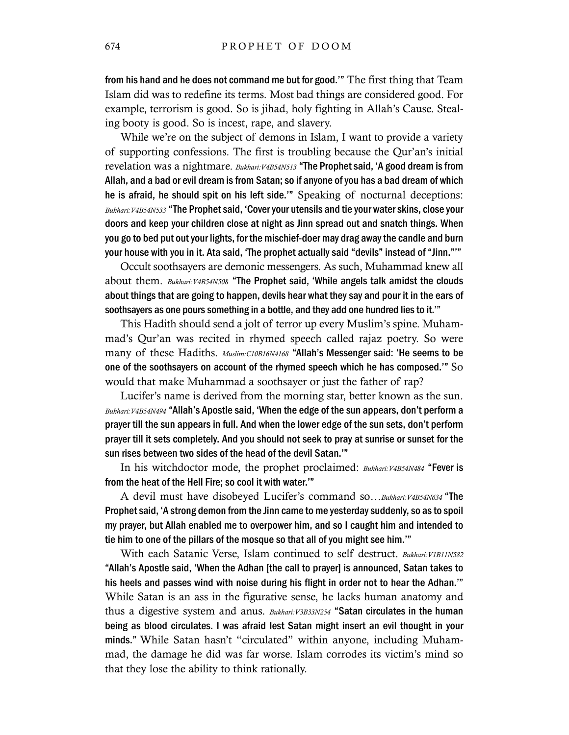from his hand and he does not command me but for good.'" The first thing that Team Islam did was to redefine its terms. Most bad things are considered good. For example, terrorism is good. So is jihad, holy fighting in Allah's Cause. Stealing booty is good. So is incest, rape, and slavery.

While we're on the subject of demons in Islam, I want to provide a variety of supporting confessions. The first is troubling because the Qur'an's initial revelation was a nightmare. *Bukhari:V4B54N513* "The Prophet said, 'A good dream is from Allah, and a bad or evil dream is from Satan; so if anyone of you has a bad dream of which he is afraid, he should spit on his left side.'" Speaking of nocturnal deceptions: *Bukhari:V4B54N533* "The Prophet said, 'Cover your utensils and tie your water skins, close your doors and keep your children close at night as Jinn spread out and snatch things. When you go to bed put out your lights, for the mischief-doer may drag away the candle and burn your house with you in it. Ata said, 'The prophet actually said "devils" instead of "Jinn."'"

Occult soothsayers are demonic messengers. As such, Muhammad knew all about them. *Bukhari:V4B54N508* "The Prophet said, 'While angels talk amidst the clouds about things that are going to happen, devils hear what they say and pour it in the ears of soothsayers as one pours something in a bottle, and they add one hundred lies to it.'"

This Hadith should send a jolt of terror up every Muslim's spine. Muhammad's Qur'an was recited in rhymed speech called rajaz poetry. So were many of these Hadiths. *Muslim:C10B16N4168* "Allah's Messenger said: 'He seems to be one of the soothsayers on account of the rhymed speech which he has composed.'" So would that make Muhammad a soothsayer or just the father of rap?

Lucifer's name is derived from the morning star, better known as the sun. *Bukhari:V4B54N494* "Allah's Apostle said, 'When the edge of the sun appears, don't perform a prayer till the sun appears in full. And when the lower edge of the sun sets, don't perform prayer till it sets completely. And you should not seek to pray at sunrise or sunset for the sun rises between two sides of the head of the devil Satan.'"

In his witchdoctor mode, the prophet proclaimed: *Bukhari:V4B54N484* "Fever is from the heat of the Hell Fire; so cool it with water.'"

A devil must have disobeyed Lucifer's command so…*Bukhari:V4B54N634* "The Prophet said, 'A strong demon from the Jinn came to me yesterday suddenly, so as to spoil my prayer, but Allah enabled me to overpower him, and so I caught him and intended to tie him to one of the pillars of the mosque so that all of you might see him.'"

With each Satanic Verse, Islam continued to self destruct. *Bukhari:V1B11N582* "Allah's Apostle said, 'When the Adhan [the call to prayer] is announced, Satan takes to his heels and passes wind with noise during his flight in order not to hear the Adhan." While Satan is an ass in the figurative sense, he lacks human anatomy and thus a digestive system and anus. *Bukhari:V3B33N254* "Satan circulates in the human being as blood circulates. I was afraid lest Satan might insert an evil thought in your minds." While Satan hasn't "circulated" within anyone, including Muhammad, the damage he did was far worse. Islam corrodes its victim's mind so that they lose the ability to think rationally.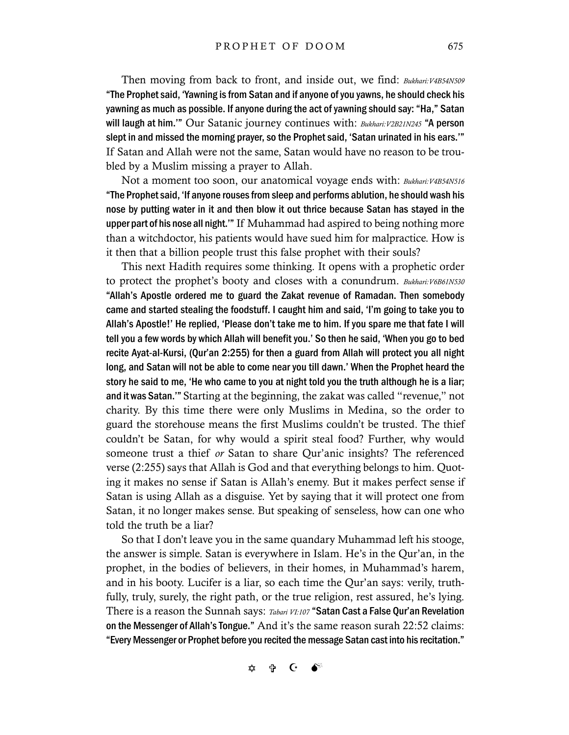Then moving from back to front, and inside out, we find: *Bukhari:V4B54N509* "The Prophet said, 'Yawning is from Satan and if anyone of you yawns, he should check his yawning as much as possible. If anyone during the act of yawning should say: "Ha," Satan will laugh at him.'" Our Satanic journey continues with: *Bukhari:V2B21N245* "A person slept in and missed the morning prayer, so the Prophet said, 'Satan urinated in his ears.'" If Satan and Allah were not the same, Satan would have no reason to be troubled by a Muslim missing a prayer to Allah.

Not a moment too soon, our anatomical voyage ends with: *Bukhari:V4B54N516* "The Prophet said, 'If anyone rouses from sleep and performs ablution, he should wash his nose by putting water in it and then blow it out thrice because Satan has stayed in the upper part of his nose all night.'" If Muhammad had aspired to being nothing more than a witchdoctor, his patients would have sued him for malpractice. How is it then that a billion people trust this false prophet with their souls?

This next Hadith requires some thinking. It opens with a prophetic order to protect the prophet's booty and closes with a conundrum. *Bukhari:V6B61N530* "Allah's Apostle ordered me to guard the Zakat revenue of Ramadan. Then somebody came and started stealing the foodstuff. I caught him and said, 'I'm going to take you to Allah's Apostle!' He replied, 'Please don't take me to him. If you spare me that fate I will tell you a few words by which Allah will benefit you.' So then he said, 'When you go to bed recite Ayat-al-Kursi, (Qur'an 2:255) for then a guard from Allah will protect you all night long, and Satan will not be able to come near you till dawn.' When the Prophet heard the story he said to me, 'He who came to you at night told you the truth although he is a liar; and it was Satan.'" Starting at the beginning, the zakat was called "revenue," not charity. By this time there were only Muslims in Medina, so the order to guard the storehouse means the first Muslims couldn't be trusted. The thief couldn't be Satan, for why would a spirit steal food? Further, why would someone trust a thief *or* Satan to share Qur'anic insights? The referenced verse (2:255) says that Allah is God and that everything belongs to him. Quoting it makes no sense if Satan is Allah's enemy. But it makes perfect sense if Satan is using Allah as a disguise. Yet by saying that it will protect one from Satan, it no longer makes sense. But speaking of senseless, how can one who told the truth be a liar?

So that I don't leave you in the same quandary Muhammad left his stooge, the answer is simple. Satan is everywhere in Islam. He's in the Qur'an, in the prophet, in the bodies of believers, in their homes, in Muhammad's harem, and in his booty. Lucifer is a liar, so each time the Qur'an says: verily, truthfully, truly, surely, the right path, or the true religion, rest assured, he's lying. There is a reason the Sunnah says: *Tabari VI:107* "Satan Cast a False Qur'an Revelation on the Messenger of Allah's Tongue." And it's the same reason surah 22:52 claims: "Every Messenger or Prophet before you recited the message Satan cast into his recitation."

**☆ ☆ ☆ ☆**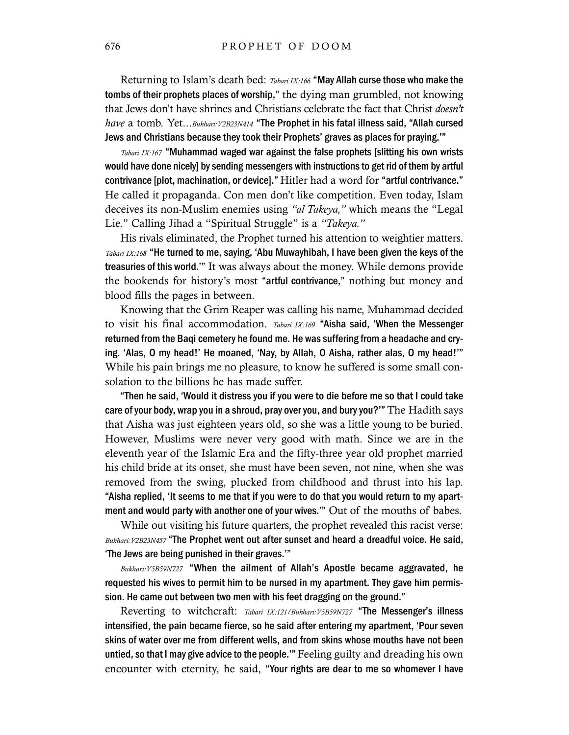Returning to Islam's death bed: *Tabari IX:166* "May Allah curse those who make the tombs of their prophets places of worship," the dying man grumbled, not knowing that Jews don't have shrines and Christians celebrate the fact that Christ *doesn't have* a tomb. Yet...*Bukhari:V2B23N414* "The Prophet in his fatal illness said, "Allah cursed Jews and Christians because they took their Prophets' graves as places for praying.'"

*Tabari IX:167* "Muhammad waged war against the false prophets [slitting his own wrists would have done nicely] by sending messengers with instructions to get rid of them by artful contrivance [plot, machination, or device]." Hitler had a word for "artful contrivance." He called it propaganda. Con men don't like competition. Even today, Islam deceives its non-Muslim enemies using *"al Takeya,"* which means the "Legal Lie." Calling Jihad a "Spiritual Struggle" is a *"Takeya."*

His rivals eliminated, the Prophet turned his attention to weightier matters. *Tabari IX:168* "He turned to me, saying, 'Abu Muwayhibah, I have been given the keys of the treasuries of this world.'" It was always about the money. While demons provide the bookends for history's most "artful contrivance," nothing but money and blood fills the pages in between.

Knowing that the Grim Reaper was calling his name, Muhammad decided to visit his final accommodation. *Tabari IX:169* "Aisha said, 'When the Messenger returned from the Baqi cemetery he found me. He was suffering from a headache and crying. 'Alas, O my head!' He moaned, 'Nay, by Allah, O Aisha, rather alas, O my head!'" While his pain brings me no pleasure, to know he suffered is some small consolation to the billions he has made suffer.

"Then he said, 'Would it distress you if you were to die before me so that I could take care of your body, wrap you in a shroud, pray over you, and bury you?'" The Hadith says that Aisha was just eighteen years old, so she was a little young to be buried. However, Muslims were never very good with math. Since we are in the eleventh year of the Islamic Era and the fifty-three year old prophet married his child bride at its onset, she must have been seven, not nine, when she was removed from the swing, plucked from childhood and thrust into his lap. "Aisha replied, 'It seems to me that if you were to do that you would return to my apartment and would party with another one of your wives.'" Out of the mouths of babes.

While out visiting his future quarters, the prophet revealed this racist verse: *Bukhari:V2B23N457* "The Prophet went out after sunset and heard a dreadful voice. He said, 'The Jews are being punished in their graves.'"

*Bukhari:V5B59N727* "When the ailment of Allah's Apostle became aggravated, he requested his wives to permit him to be nursed in my apartment. They gave him permission. He came out between two men with his feet dragging on the ground."

Reverting to witchcraft: *Tabari IX:121/Bukhari:V5B59N727* "The Messenger's illness intensified, the pain became fierce, so he said after entering my apartment, 'Pour seven skins of water over me from different wells, and from skins whose mouths have not been untied, so that I may give advice to the people.'" Feeling guilty and dreading his own encounter with eternity, he said, "Your rights are dear to me so whomever I have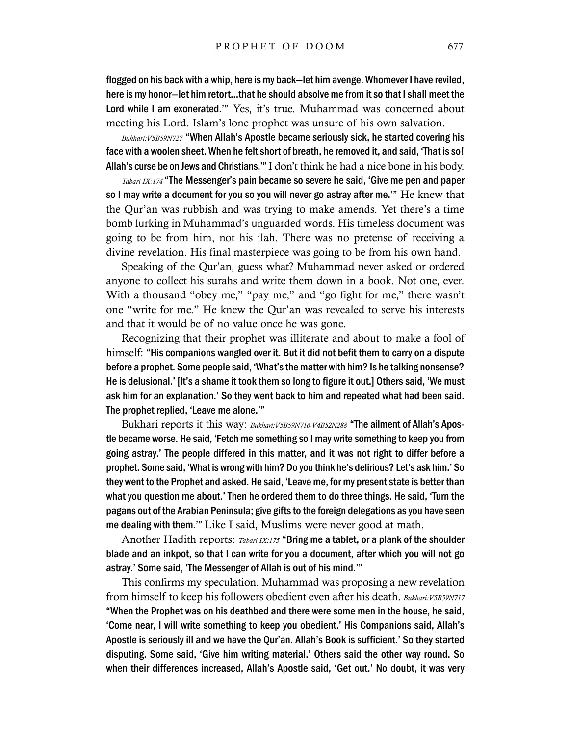flogged on his back with a whip, here is my back—let him avenge. Whomever I have reviled, here is my honor—let him retort…that he should absolve me from it so that I shall meet the Lord while I am exonerated.'" Yes, it's true. Muhammad was concerned about meeting his Lord. Islam's lone prophet was unsure of his own salvation.

*Bukhari:V5B59N727* "When Allah's Apostle became seriously sick, he started covering his face with a woolen sheet. When he felt short of breath, he removed it, and said, 'That is so! Allah's curse be on Jews and Christians.'" I don't think he had a nice bone in his body.

*Tabari IX:174* "The Messenger's pain became so severe he said, 'Give me pen and paper so I may write a document for you so you will never go astray after me.'" He knew that the Qur'an was rubbish and was trying to make amends. Yet there's a time bomb lurking in Muhammad's unguarded words. His timeless document was going to be from him, not his ilah. There was no pretense of receiving a divine revelation. His final masterpiece was going to be from his own hand.

Speaking of the Qur'an, guess what? Muhammad never asked or ordered anyone to collect his surahs and write them down in a book. Not one, ever. With a thousand "obey me," "pay me," and "go fight for me," there wasn't one "write for me." He knew the Qur'an was revealed to serve his interests and that it would be of no value once he was gone.

Recognizing that their prophet was illiterate and about to make a fool of himself: "His companions wangled over it. But it did not befit them to carry on a dispute before a prophet. Some people said, 'What's the matter with him? Is he talking nonsense? He is delusional.' [It's a shame it took them so long to figure it out.] Others said, 'We must ask him for an explanation.' So they went back to him and repeated what had been said. The prophet replied, 'Leave me alone.'"

Bukhari reports it this way: *Bukhari:V5B59N716-V4B52N288* "The ailment of Allah's Apostle became worse. He said, 'Fetch me something so I may write something to keep you from going astray.' The people differed in this matter, and it was not right to differ before a prophet. Some said, 'What is wrong with him? Do you think he's delirious? Let's ask him.' So they went to the Prophet and asked. He said, 'Leave me, for my present state is better than what you question me about.' Then he ordered them to do three things. He said, 'Turn the pagans out of the Arabian Peninsula; give gifts to the foreign delegations as you have seen me dealing with them.'" Like I said, Muslims were never good at math.

Another Hadith reports: *Tabari IX:175* "Bring me a tablet, or a plank of the shoulder blade and an inkpot, so that I can write for you a document, after which you will not go astray.' Some said, 'The Messenger of Allah is out of his mind.'"

This confirms my speculation. Muhammad was proposing a new revelation from himself to keep his followers obedient even after his death. *Bukhari:V5B59N717* "When the Prophet was on his deathbed and there were some men in the house, he said, 'Come near, I will write something to keep you obedient.' His Companions said, Allah's Apostle is seriously ill and we have the Qur'an. Allah's Book is sufficient.' So they started disputing. Some said, 'Give him writing material.' Others said the other way round. So when their differences increased, Allah's Apostle said, 'Get out.' No doubt, it was very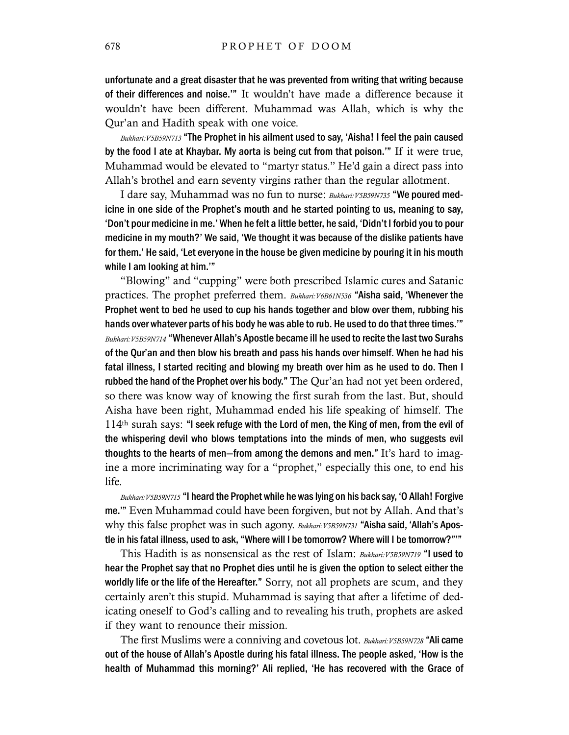unfortunate and a great disaster that he was prevented from writing that writing because of their differences and noise.'" It wouldn't have made a difference because it wouldn't have been different. Muhammad was Allah, which is why the Qur'an and Hadith speak with one voice.

*Bukhari:V5B59N713* "The Prophet in his ailment used to say, 'Aisha! I feel the pain caused by the food I ate at Khaybar. My aorta is being cut from that poison.'" If it were true, Muhammad would be elevated to "martyr status." He'd gain a direct pass into Allah's brothel and earn seventy virgins rather than the regular allotment.

I dare say, Muhammad was no fun to nurse: *Bukhari:V5B59N735* "We poured medicine in one side of the Prophet's mouth and he started pointing to us, meaning to say, 'Don't pour medicine in me.' When he felt a little better, he said, 'Didn't I forbid you to pour medicine in my mouth?' We said, 'We thought it was because of the dislike patients have for them.' He said, 'Let everyone in the house be given medicine by pouring it in his mouth while I am looking at him.'"

"Blowing" and "cupping" were both prescribed Islamic cures and Satanic practices. The prophet preferred them. *Bukhari:V6B61N536* "Aisha said, 'Whenever the Prophet went to bed he used to cup his hands together and blow over them, rubbing his hands over whatever parts of his body he was able to rub. He used to do that three times.'" *Bukhari:V5B59N714* "Whenever Allah's Apostle became ill he used to recite the last two Surahs of the Qur'an and then blow his breath and pass his hands over himself. When he had his fatal illness, I started reciting and blowing my breath over him as he used to do. Then I rubbed the hand of the Prophet over his body." The Qur'an had not yet been ordered, so there was know way of knowing the first surah from the last. But, should Aisha have been right, Muhammad ended his life speaking of himself. The  $114<sup>th</sup>$  surah says: "I seek refuge with the Lord of men, the King of men, from the evil of the whispering devil who blows temptations into the minds of men, who suggests evil thoughts to the hearts of men—from among the demons and men." It's hard to imagine a more incriminating way for a "prophet," especially this one, to end his life.

*Bukhari:V5B59N715* "I heard the Prophet while he was lying on his back say, 'O Allah! Forgive me.'" Even Muhammad could have been forgiven, but not by Allah. And that's why this false prophet was in such agony. *Bukhari:V5B59N731* "Aisha said, 'Allah's Apostle in his fatal illness, used to ask, "Where will I be tomorrow? Where will I be tomorrow?"'"

This Hadith is as nonsensical as the rest of Islam: *Bukhari:V5B59N719* "I used to hear the Prophet say that no Prophet dies until he is given the option to select either the worldly life or the life of the Hereafter." Sorry, not all prophets are scum, and they certainly aren't this stupid. Muhammad is saying that after a lifetime of dedicating oneself to God's calling and to revealing his truth, prophets are asked if they want to renounce their mission.

The first Muslims were a conniving and covetous lot. *Bukhari:V5B59N728* "Ali came out of the house of Allah's Apostle during his fatal illness. The people asked, 'How is the health of Muhammad this morning?' Ali replied, 'He has recovered with the Grace of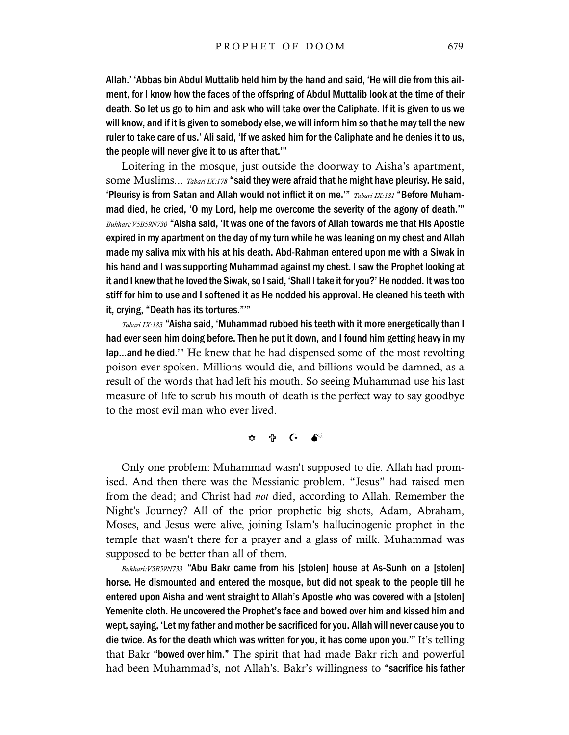Allah.' 'Abbas bin Abdul Muttalib held him by the hand and said, 'He will die from this ailment, for I know how the faces of the offspring of Abdul Muttalib look at the time of their death. So let us go to him and ask who will take over the Caliphate. If it is given to us we will know, and if it is given to somebody else, we will inform him so that he may tell the new ruler to take care of us.' Ali said, 'If we asked him for the Caliphate and he denies it to us, the people will never give it to us after that.'"

Loitering in the mosque, just outside the doorway to Aisha's apartment, some Muslims... *Tabari IX:178* "said they were afraid that he might have pleurisy. He said, 'Pleurisy is from Satan and Allah would not inflict it on me.'" *Tabari IX:181* "Before Muhammad died, he cried, 'O my Lord, help me overcome the severity of the agony of death.'" *Bukhari:V5B59N730* "Aisha said, 'It was one of the favors of Allah towards me that His Apostle expired in my apartment on the day of my turn while he was leaning on my chest and Allah made my saliva mix with his at his death. Abd-Rahman entered upon me with a Siwak in his hand and I was supporting Muhammad against my chest. I saw the Prophet looking at it and I knew that he loved the Siwak, so I said, 'Shall I take it for you?' He nodded. It was too stiff for him to use and I softened it as He nodded his approval. He cleaned his teeth with it, crying, "Death has its tortures."'"

*Tabari IX:183* "Aisha said, 'Muhammad rubbed his teeth with it more energetically than I had ever seen him doing before. Then he put it down, and I found him getting heavy in my lap…and he died.'" He knew that he had dispensed some of the most revolting poison ever spoken. Millions would die, and billions would be damned, as a result of the words that had left his mouth. So seeing Muhammad use his last measure of life to scrub his mouth of death is the perfect way to say goodbye to the most evil man who ever lived.

**☆ ☆ ☆ ☆** 

Only one problem: Muhammad wasn't supposed to die. Allah had promised. And then there was the Messianic problem. "Jesus" had raised men from the dead; and Christ had *not* died, according to Allah. Remember the Night's Journey? All of the prior prophetic big shots, Adam, Abraham, Moses, and Jesus were alive, joining Islam's hallucinogenic prophet in the temple that wasn't there for a prayer and a glass of milk. Muhammad was supposed to be better than all of them.

*Bukhari:V5B59N733* "Abu Bakr came from his [stolen] house at As-Sunh on a [stolen] horse. He dismounted and entered the mosque, but did not speak to the people till he entered upon Aisha and went straight to Allah's Apostle who was covered with a [stolen] Yemenite cloth. He uncovered the Prophet's face and bowed over him and kissed him and wept, saying, 'Let my father and mother be sacrificed for you. Allah will never cause you to die twice. As for the death which was written for you, it has come upon you.'" It's telling that Bakr "bowed over him." The spirit that had made Bakr rich and powerful had been Muhammad's, not Allah's. Bakr's willingness to "sacrifice his father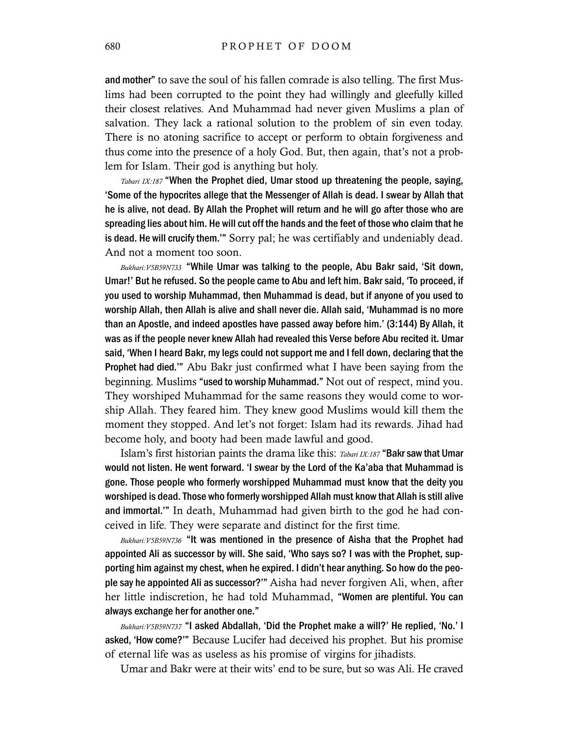and mother" to save the soul of his fallen comrade is also telling. The first Muslims had been corrupted to the point they had willingly and gleefully killed their closest relatives. And Muhammad had never given Muslims a plan of salvation. They lack a rational solution to the problem of sin even today. There is no atoning sacrifice to accept or perform to obtain forgiveness and thus come into the presence of a holy God. But, then again, that's not a problem for Islam. Their god is anything but holy.

*Tabari IX:187* "When the Prophet died, Umar stood up threatening the people, saying, 'Some of the hypocrites allege that the Messenger of Allah is dead. I swear by Allah that he is alive, not dead. By Allah the Prophet will return and he will go after those who are spreading lies about him. He will cut off the hands and the feet of those who claim that he is dead. He will crucify them.'" Sorry pal; he was certifiably and undeniably dead. And not a moment too soon.

*Bukhari:V5B59N733* "While Umar was talking to the people, Abu Bakr said, 'Sit down, Umar!' But he refused. So the people came to Abu and left him. Bakr said, 'To proceed, if you used to worship Muhammad, then Muhammad is dead, but if anyone of you used to worship Allah, then Allah is alive and shall never die. Allah said, 'Muhammad is no more than an Apostle, and indeed apostles have passed away before him.' (3:144) By Allah, it was as if the people never knew Allah had revealed this Verse before Abu recited it. Umar said, 'When I heard Bakr, my legs could not support me and I fell down, declaring that the Prophet had died.'" Abu Bakr just confirmed what I have been saying from the beginning. Muslims "used to worship Muhammad." Not out of respect, mind you. They worshiped Muhammad for the same reasons they would come to worship Allah. They feared him. They knew good Muslims would kill them the moment they stopped. And let's not forget: Islam had its rewards. Jihad had become holy, and booty had been made lawful and good.

Islam's first historian paints the drama like this: *Tabari IX:187* "Bakr saw that Umar would not listen. He went forward. 'I swear by the Lord of the Ka'aba that Muhammad is gone. Those people who formerly worshipped Muhammad must know that the deity you worshiped is dead. Those who formerly worshipped Allah must know that Allah is still alive and immortal.'" In death, Muhammad had given birth to the god he had conceived in life. They were separate and distinct for the first time.

*Bukhari:V5B59N736* "It was mentioned in the presence of Aisha that the Prophet had appointed Ali as successor by will. She said, 'Who says so? I was with the Prophet, supporting him against my chest, when he expired. I didn't hear anything. So how do the people say he appointed Ali as successor?'" Aisha had never forgiven Ali, when, after her little indiscretion, he had told Muhammad, "Women are plentiful. You can always exchange her for another one."

*Bukhari:V5B59N737* "I asked Abdallah, 'Did the Prophet make a will?' He replied, 'No.' I asked, 'How come?'" Because Lucifer had deceived his prophet. But his promise of eternal life was as useless as his promise of virgins for jihadists.

Umar and Bakr were at their wits' end to be sure, but so was Ali. He craved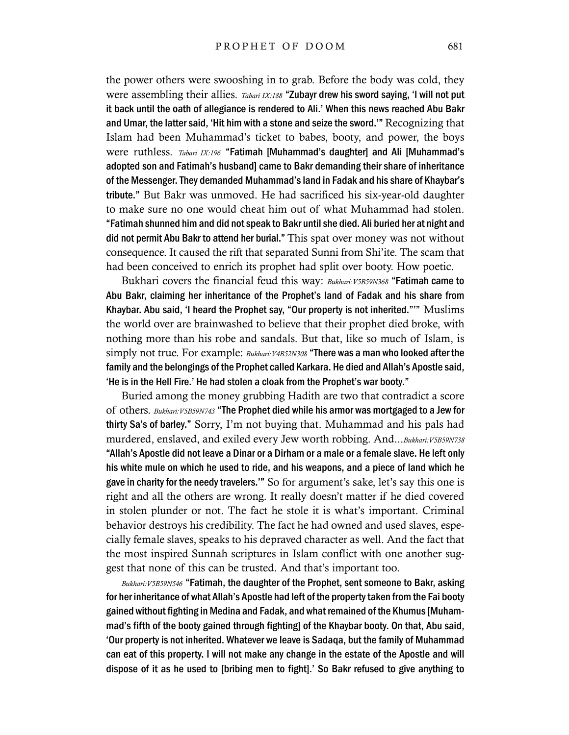the power others were swooshing in to grab. Before the body was cold, they were assembling their allies. *Tabari IX:188* "Zubayr drew his sword saying, 'I will not put it back until the oath of allegiance is rendered to Ali.' When this news reached Abu Bakr and Umar, the latter said, 'Hit him with a stone and seize the sword.'" Recognizing that Islam had been Muhammad's ticket to babes, booty, and power, the boys were ruthless. *Tabari IX:196* "Fatimah [Muhammad's daughter] and Ali [Muhammad's adopted son and Fatimah's husband] came to Bakr demanding their share of inheritance of the Messenger. They demanded Muhammad's land in Fadak and his share of Khaybar's tribute." But Bakr was unmoved. He had sacrificed his six-year-old daughter to make sure no one would cheat him out of what Muhammad had stolen. "Fatimah shunned him and did not speak to Bakr until she died. Ali buried her at night and did not permit Abu Bakr to attend her burial." This spat over money was not without consequence. It caused the rift that separated Sunni from Shi'ite. The scam that had been conceived to enrich its prophet had split over booty. How poetic.

Bukhari covers the financial feud this way: **Bukhari:V5B59N368** "Fatimah came to Abu Bakr, claiming her inheritance of the Prophet's land of Fadak and his share from Khaybar. Abu said, 'I heard the Prophet say, "Our property is not inherited."'" Muslims the world over are brainwashed to believe that their prophet died broke, with nothing more than his robe and sandals. But that, like so much of Islam, is simply not true. For example: *Bukhari:V4B52N308* "There was a man who looked after the family and the belongings of the Prophet called Karkara. He died and Allah's Apostle said, 'He is in the Hell Fire.' He had stolen a cloak from the Prophet's war booty."

Buried among the money grubbing Hadith are two that contradict a score of others. *Bukhari:V5B59N743* "The Prophet died while his armor was mortgaged to a Jew for thirty Sa's of barley." Sorry, I'm not buying that. Muhammad and his pals had murdered, enslaved, and exiled every Jew worth robbing. And...*Bukhari:V5B59N738* "Allah's Apostle did not leave a Dinar or a Dirham or a male or a female slave. He left only his white mule on which he used to ride, and his weapons, and a piece of land which he gave in charity for the needy travelers.'" So for argument's sake, let's say this one is right and all the others are wrong. It really doesn't matter if he died covered in stolen plunder or not. The fact he stole it is what's important. Criminal behavior destroys his credibility. The fact he had owned and used slaves, especially female slaves, speaks to his depraved character as well. And the fact that the most inspired Sunnah scriptures in Islam conflict with one another suggest that none of this can be trusted. And that's important too.

*Bukhari:V5B59N546* "Fatimah, the daughter of the Prophet, sent someone to Bakr, asking for her inheritance of what Allah's Apostle had left of the property taken from the Fai booty gained without fighting in Medina and Fadak, and what remained of the Khumus [Muhammad's fifth of the booty gained through fighting] of the Khaybar booty. On that, Abu said, 'Our property is not inherited. Whatever we leave is Sadaqa, but the family of Muhammad can eat of this property. I will not make any change in the estate of the Apostle and will dispose of it as he used to [bribing men to fight].' So Bakr refused to give anything to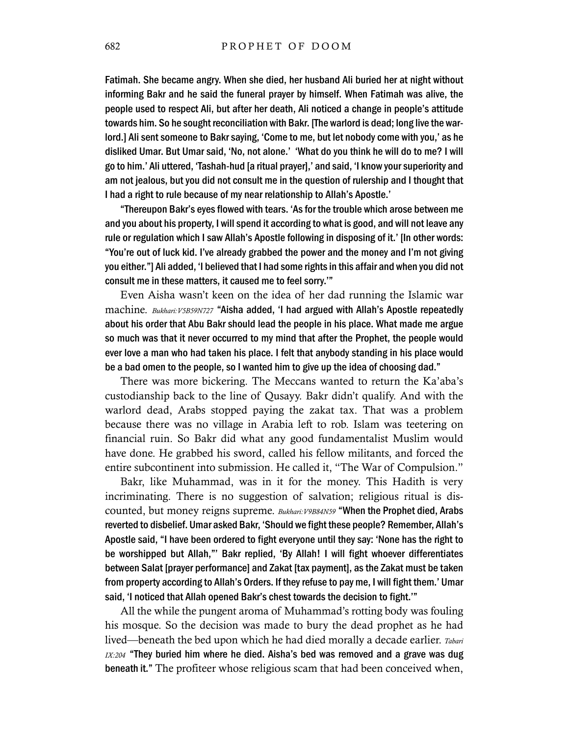Fatimah. She became angry. When she died, her husband Ali buried her at night without informing Bakr and he said the funeral prayer by himself. When Fatimah was alive, the people used to respect Ali, but after her death, Ali noticed a change in people's attitude towards him. So he sought reconciliation with Bakr. [The warlord is dead; long live the warlord.] Ali sent someone to Bakr saying, 'Come to me, but let nobody come with you,' as he disliked Umar. But Umar said, 'No, not alone.' 'What do you think he will do to me? I will go to him.' Ali uttered, 'Tashah-hud [a ritual prayer],' and said, 'I know your superiority and am not jealous, but you did not consult me in the question of rulership and I thought that I had a right to rule because of my near relationship to Allah's Apostle.'

"Thereupon Bakr's eyes flowed with tears. 'As for the trouble which arose between me and you about his property, I will spend it according to what is good, and will not leave any rule or regulation which I saw Allah's Apostle following in disposing of it.' [In other words: "You're out of luck kid. I've already grabbed the power and the money and I'm not giving you either."] Ali added, 'I believed that I had some rights in this affair and when you did not consult me in these matters, it caused me to feel sorry.'"

Even Aisha wasn't keen on the idea of her dad running the Islamic war machine. *Bukhari:V5B59N727* "Aisha added, 'I had argued with Allah's Apostle repeatedly about his order that Abu Bakr should lead the people in his place. What made me argue so much was that it never occurred to my mind that after the Prophet, the people would ever love a man who had taken his place. I felt that anybody standing in his place would be a bad omen to the people, so I wanted him to give up the idea of choosing dad."

There was more bickering. The Meccans wanted to return the Ka'aba's custodianship back to the line of Qusayy. Bakr didn't qualify. And with the warlord dead, Arabs stopped paying the zakat tax. That was a problem because there was no village in Arabia left to rob. Islam was teetering on financial ruin. So Bakr did what any good fundamentalist Muslim would have done. He grabbed his sword, called his fellow militants, and forced the entire subcontinent into submission. He called it, "The War of Compulsion."

Bakr, like Muhammad, was in it for the money. This Hadith is very incriminating. There is no suggestion of salvation; religious ritual is discounted, but money reigns supreme. *Bukhari:V9B84N59* "When the Prophet died, Arabs reverted to disbelief. Umar asked Bakr, 'Should we fight these people? Remember, Allah's Apostle said, "I have been ordered to fight everyone until they say: 'None has the right to be worshipped but Allah,"' Bakr replied, 'By Allah! I will fight whoever differentiates between Salat [prayer performance] and Zakat [tax payment], as the Zakat must be taken from property according to Allah's Orders. If they refuse to pay me, I will fight them.' Umar said, 'I noticed that Allah opened Bakr's chest towards the decision to fight.'"

All the while the pungent aroma of Muhammad's rotting body was fouling his mosque. So the decision was made to bury the dead prophet as he had lived—beneath the bed upon which he had died morally a decade earlier. *Tabari IX:204* "They buried him where he died. Aisha's bed was removed and a grave was dug beneath it." The profiteer whose religious scam that had been conceived when,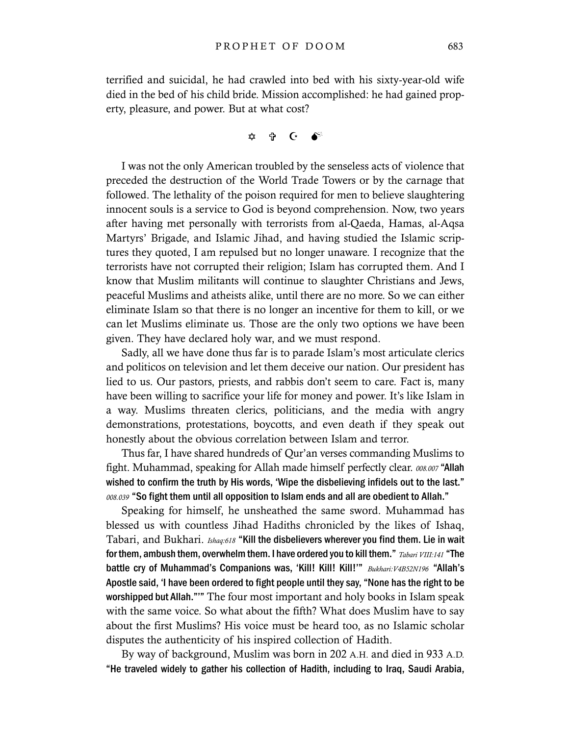terrified and suicidal, he had crawled into bed with his sixty-year-old wife died in the bed of his child bride. Mission accomplished: he had gained property, pleasure, and power. But at what cost?

 $\hat{\mathbf{x}}$   $\mathbf{h}$   $\mathbf{G}$   $\mathbf{S}^*$ 

I was not the only American troubled by the senseless acts of violence that preceded the destruction of the World Trade Towers or by the carnage that followed. The lethality of the poison required for men to believe slaughtering innocent souls is a service to God is beyond comprehension. Now, two years after having met personally with terrorists from al-Qaeda, Hamas, al-Aqsa Martyrs' Brigade, and Islamic Jihad, and having studied the Islamic scriptures they quoted, I am repulsed but no longer unaware. I recognize that the terrorists have not corrupted their religion; Islam has corrupted them. And I know that Muslim militants will continue to slaughter Christians and Jews, peaceful Muslims and atheists alike, until there are no more. So we can either eliminate Islam so that there is no longer an incentive for them to kill, or we can let Muslims eliminate us. Those are the only two options we have been given. They have declared holy war, and we must respond.

Sadly, all we have done thus far is to parade Islam's most articulate clerics and politicos on television and let them deceive our nation. Our president has lied to us. Our pastors, priests, and rabbis don't seem to care. Fact is, many have been willing to sacrifice your life for money and power. It's like Islam in a way. Muslims threaten clerics, politicians, and the media with angry demonstrations, protestations, boycotts, and even death if they speak out honestly about the obvious correlation between Islam and terror.

Thus far, I have shared hundreds of Qur'an verses commanding Muslims to fight. Muhammad, speaking for Allah made himself perfectly clear. *008.007* "Allah wished to confirm the truth by His words, 'Wipe the disbelieving infidels out to the last." *008.039* "So fight them until all opposition to Islam ends and all are obedient to Allah."

Speaking for himself, he unsheathed the same sword. Muhammad has blessed us with countless Jihad Hadiths chronicled by the likes of Ishaq, Tabari, and Bukhari. *Ishaq:618* "Kill the disbelievers wherever you find them. Lie in wait for them, ambush them, overwhelm them. I have ordered you to kill them." *Tabari VIII:141* "The battle cry of Muhammad's Companions was, 'Kill! Kill! Kill!'" *Bukhari:V4B52N196* "Allah's Apostle said, 'I have been ordered to fight people until they say, "None has the right to be worshipped but Allah."'" The four most important and holy books in Islam speak with the same voice. So what about the fifth? What does Muslim have to say about the first Muslims? His voice must be heard too, as no Islamic scholar disputes the authenticity of his inspired collection of Hadith.

By way of background, Muslim was born in 202 A.H. and died in 933 A.D. "He traveled widely to gather his collection of Hadith, including to Iraq, Saudi Arabia,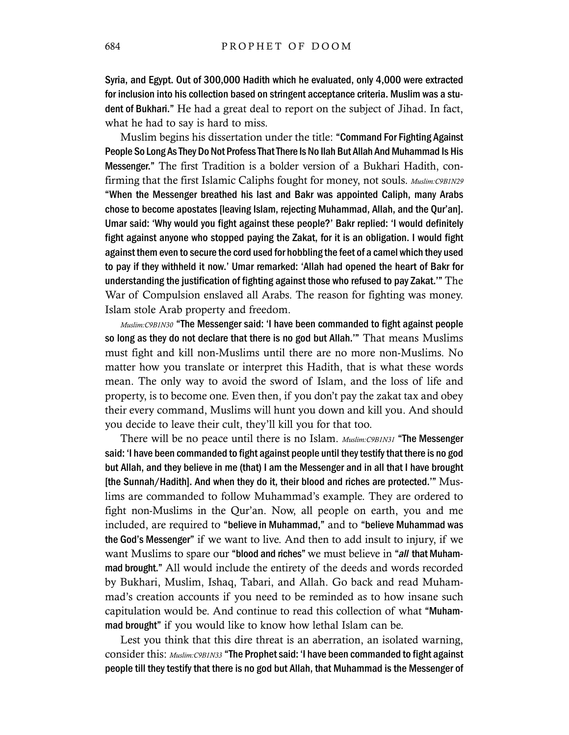Syria, and Egypt. Out of 300,000 Hadith which he evaluated, only 4,000 were extracted for inclusion into his collection based on stringent acceptance criteria. Muslim was a student of Bukhari." He had a great deal to report on the subject of Jihad. In fact, what he had to say is hard to miss.

Muslim begins his dissertation under the title: "Command For Fighting Against People So Long As They Do Not Profess That There Is No Ilah But Allah And Muhammad Is His Messenger." The first Tradition is a bolder version of a Bukhari Hadith, confirming that the first Islamic Caliphs fought for money, not souls. *Muslim:C9B1N29* "When the Messenger breathed his last and Bakr was appointed Caliph, many Arabs chose to become apostates [leaving Islam, rejecting Muhammad, Allah, and the Qur'an]. Umar said: 'Why would you fight against these people?' Bakr replied: 'I would definitely fight against anyone who stopped paying the Zakat, for it is an obligation. I would fight against them even to secure the cord used for hobbling the feet of a camel which they used to pay if they withheld it now.' Umar remarked: 'Allah had opened the heart of Bakr for understanding the justification of fighting against those who refused to pay Zakat.'" The War of Compulsion enslaved all Arabs. The reason for fighting was money. Islam stole Arab property and freedom.

*Muslim:C9B1N30* "The Messenger said: 'I have been commanded to fight against people so long as they do not declare that there is no god but Allah.'" That means Muslims must fight and kill non-Muslims until there are no more non-Muslims. No matter how you translate or interpret this Hadith, that is what these words mean. The only way to avoid the sword of Islam, and the loss of life and property, is to become one. Even then, if you don't pay the zakat tax and obey their every command, Muslims will hunt you down and kill you. And should you decide to leave their cult, they'll kill you for that too.

There will be no peace until there is no Islam. *Muslim:C9B1N31* "The Messenger said: 'I have been commanded to fight against people until they testify that there is no god but Allah, and they believe in me (that) I am the Messenger and in all that I have brought [the Sunnah/Hadith]. And when they do it, their blood and riches are protected.'" Muslims are commanded to follow Muhammad's example. They are ordered to fight non-Muslims in the Qur'an. Now, all people on earth, you and me included, are required to "believe in Muhammad," and to "believe Muhammad was the God's Messenger" if we want to live. And then to add insult to injury, if we want Muslims to spare our "blood and riches" we must believe in "all that Muhammad brought." All would include the entirety of the deeds and words recorded by Bukhari, Muslim, Ishaq, Tabari, and Allah. Go back and read Muhammad's creation accounts if you need to be reminded as to how insane such capitulation would be. And continue to read this collection of what "Muhammad brought" if you would like to know how lethal Islam can be.

Lest you think that this dire threat is an aberration, an isolated warning, consider this: *Muslim:C9B1N33* "The Prophet said: 'I have been commanded to fight against people till they testify that there is no god but Allah, that Muhammad is the Messenger of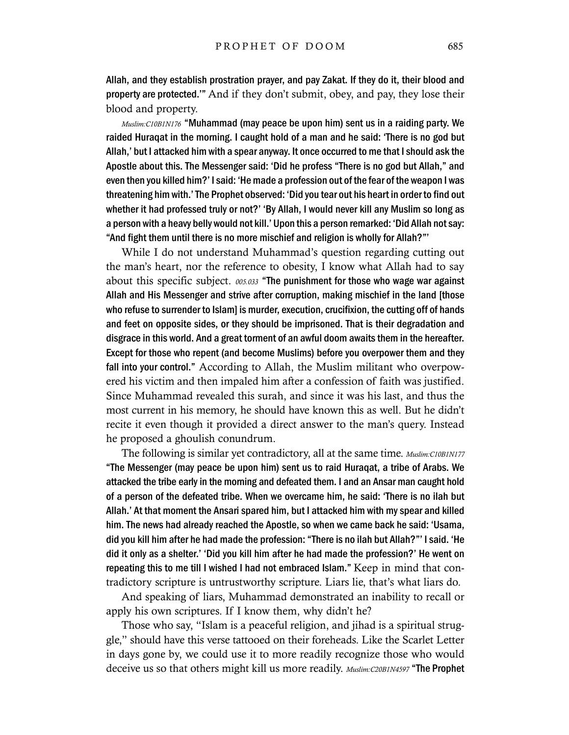Allah, and they establish prostration prayer, and pay Zakat. If they do it, their blood and property are protected.'" And if they don't submit, obey, and pay, they lose their blood and property.

*Muslim:C10B1N176* "Muhammad (may peace be upon him) sent us in a raiding party. We raided Huraqat in the morning. I caught hold of a man and he said: 'There is no god but Allah,' but I attacked him with a spear anyway. It once occurred to me that I should ask the Apostle about this. The Messenger said: 'Did he profess "There is no god but Allah," and even then you killed him?' I said: 'He made a profession out of the fear of the weapon I was threatening him with.' The Prophet observed: 'Did you tear out his heart in order to find out whether it had professed truly or not?' 'By Allah, I would never kill any Muslim so long as a person with a heavy belly would not kill.' Upon this a person remarked: 'Did Allah not say: "And fight them until there is no more mischief and religion is wholly for Allah?"'

While I do not understand Muhammad's question regarding cutting out the man's heart, nor the reference to obesity, I know what Allah had to say about this specific subject. *005.033* "The punishment for those who wage war against Allah and His Messenger and strive after corruption, making mischief in the land [those who refuse to surrender to Islam] is murder, execution, crucifixion, the cutting off of hands and feet on opposite sides, or they should be imprisoned. That is their degradation and disgrace in this world. And a great torment of an awful doom awaits them in the hereafter. Except for those who repent (and become Muslims) before you overpower them and they fall into your control." According to Allah, the Muslim militant who overpowered his victim and then impaled him after a confession of faith was justified. Since Muhammad revealed this surah, and since it was his last, and thus the most current in his memory, he should have known this as well. But he didn't recite it even though it provided a direct answer to the man's query. Instead he proposed a ghoulish conundrum.

The following is similar yet contradictory, all at the same time. *Muslim:C10B1N177* "The Messenger (may peace be upon him) sent us to raid Huraqat, a tribe of Arabs. We attacked the tribe early in the morning and defeated them. I and an Ansar man caught hold of a person of the defeated tribe. When we overcame him, he said: 'There is no ilah but Allah.' At that moment the Ansari spared him, but I attacked him with my spear and killed him. The news had already reached the Apostle, so when we came back he said: 'Usama, did you kill him after he had made the profession: "There is no ilah but Allah?"' I said. 'He did it only as a shelter.' 'Did you kill him after he had made the profession?' He went on repeating this to me till I wished I had not embraced Islam." Keep in mind that contradictory scripture is untrustworthy scripture. Liars lie, that's what liars do.

And speaking of liars, Muhammad demonstrated an inability to recall or apply his own scriptures. If I know them, why didn't he?

Those who say, "Islam is a peaceful religion, and jihad is a spiritual struggle," should have this verse tattooed on their foreheads. Like the Scarlet Letter in days gone by, we could use it to more readily recognize those who would deceive us so that others might kill us more readily. *Muslim:C20B1N4597* "The Prophet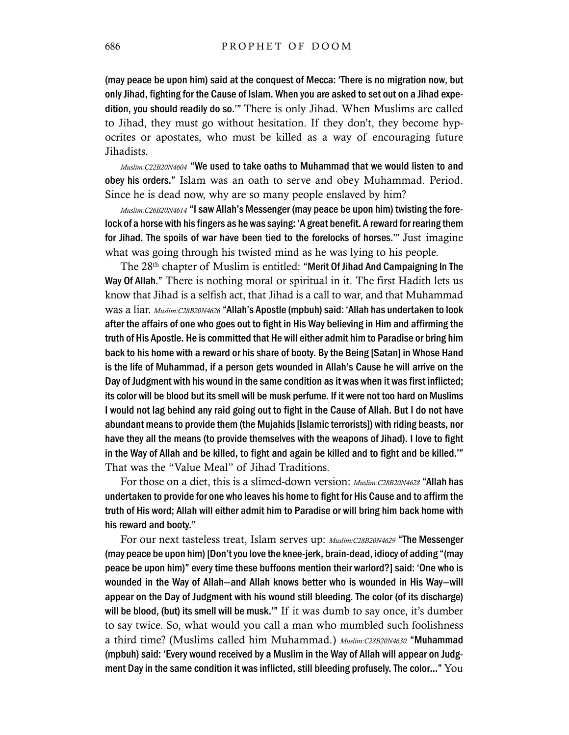(may peace be upon him) said at the conquest of Mecca: 'There is no migration now, but only Jihad, fighting for the Cause of Islam. When you are asked to set out on a Jihad expedition, you should readily do so.'" There is only Jihad. When Muslims are called to Jihad, they must go without hesitation. If they don't, they become hypocrites or apostates, who must be killed as a way of encouraging future Jihadists.

*Muslim:C22B20N4604* "We used to take oaths to Muhammad that we would listen to and obey his orders." Islam was an oath to serve and obey Muhammad. Period. Since he is dead now, why are so many people enslaved by him?

*Muslim:C26B20N4614* "I saw Allah's Messenger (may peace be upon him) twisting the forelock of a horse with his fingers as he was saying: 'A great benefit. A reward for rearing them for Jihad. The spoils of war have been tied to the forelocks of horses.'" Just imagine what was going through his twisted mind as he was lying to his people.

The 28th chapter of Muslim is entitled: "Merit Of Jihad And Campaigning In The Way Of Allah." There is nothing moral or spiritual in it. The first Hadith lets us know that Jihad is a selfish act, that Jihad is a call to war, and that Muhammad was a liar. *Muslim:C28B20N4626* "Allah's Apostle (mpbuh) said: 'Allah has undertaken to look after the affairs of one who goes out to fight in His Way believing in Him and affirming the truth of His Apostle. He is committed that He will either admit him to Paradise or bring him back to his home with a reward or his share of booty. By the Being [Satan] in Whose Hand is the life of Muhammad, if a person gets wounded in Allah's Cause he will arrive on the Day of Judgment with his wound in the same condition as it was when it was first inflicted; its color will be blood but its smell will be musk perfume. If it were not too hard on Muslims I would not lag behind any raid going out to fight in the Cause of Allah. But I do not have abundant means to provide them (the Mujahids [Islamic terrorists]) with riding beasts, nor have they all the means (to provide themselves with the weapons of Jihad). I love to fight in the Way of Allah and be killed, to fight and again be killed and to fight and be killed.'" That was the "Value Meal" of Jihad Traditions.

For those on a diet, this is a slimed-down version: *Muslim:C28B20N4628* "Allah has undertaken to provide for one who leaves his home to fight for His Cause and to affirm the truth of His word; Allah will either admit him to Paradise or will bring him back home with his reward and booty."

For our next tasteless treat, Islam serves up: *Muslim:C28B20N4629* "The Messenger (may peace be upon him) [Don't you love the knee-jerk, brain-dead, idiocy of adding "(may peace be upon him)" every time these buffoons mention their warlord?] said: 'One who is wounded in the Way of Allah—and Allah knows better who is wounded in His Way—will appear on the Day of Judgment with his wound still bleeding. The color (of its discharge) will be blood, (but) its smell will be musk." If it was dumb to say once, it's dumber to say twice. So, what would you call a man who mumbled such foolishness a third time? (Muslims called him Muhammad.) *Muslim:C28B20N4630* "Muhammad (mpbuh) said: 'Every wound received by a Muslim in the Way of Allah will appear on Judgment Day in the same condition it was inflicted, still bleeding profusely. The color…" You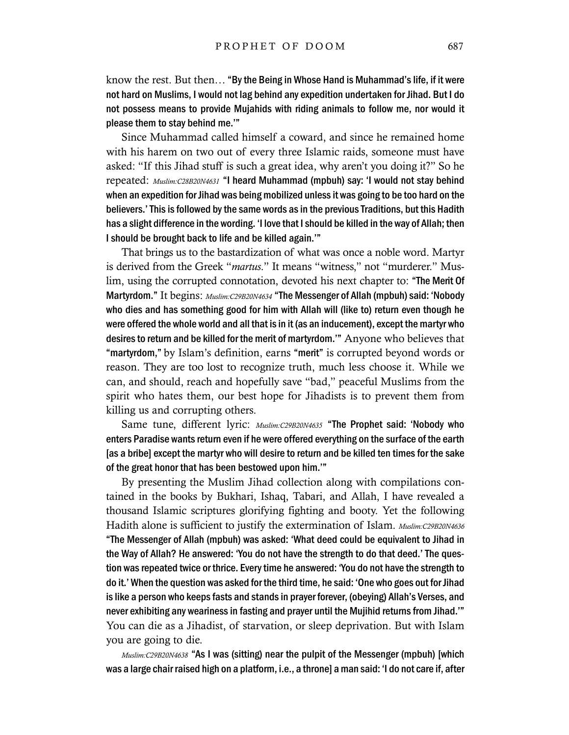know the rest. But then… "By the Being in Whose Hand is Muhammad's life, if it were not hard on Muslims, I would not lag behind any expedition undertaken for Jihad. But I do not possess means to provide Mujahids with riding animals to follow me, nor would it please them to stay behind me.'"

Since Muhammad called himself a coward, and since he remained home with his harem on two out of every three Islamic raids, someone must have asked: "If this Jihad stuff is such a great idea, why aren't you doing it?" So he repeated: *Muslim:C28B20N4631* "I heard Muhammad (mpbuh) say: 'I would not stay behind when an expedition for Jihad was being mobilized unless it was going to be too hard on the believers.' This is followed by the same words as in the previous Traditions, but this Hadith has a slight difference in the wording. 'I love that I should be killed in the way of Allah; then I should be brought back to life and be killed again.'"

That brings us to the bastardization of what was once a noble word. Martyr is derived from the Greek "*martus*." It means "witness," not "murderer." Muslim, using the corrupted connotation, devoted his next chapter to: "The Merit Of Martyrdom." It begins: *Muslim:C29B20N4634* "The Messenger of Allah (mpbuh) said: 'Nobody who dies and has something good for him with Allah will (like to) return even though he were offered the whole world and all that is in it (as an inducement), except the martyr who desires to return and be killed for the merit of martyrdom.'" Anyone who believes that "martyrdom," by Islam's definition, earns "merit" is corrupted beyond words or reason. They are too lost to recognize truth, much less choose it. While we can, and should, reach and hopefully save "bad," peaceful Muslims from the spirit who hates them, our best hope for Jihadists is to prevent them from killing us and corrupting others.

Same tune, different lyric: *Muslim:C29B20N4635* "The Prophet said: 'Nobody who enters Paradise wants return even if he were offered everything on the surface of the earth [as a bribe] except the martyr who will desire to return and be killed ten times for the sake of the great honor that has been bestowed upon him.'"

By presenting the Muslim Jihad collection along with compilations contained in the books by Bukhari, Ishaq, Tabari, and Allah, I have revealed a thousand Islamic scriptures glorifying fighting and booty. Yet the following Hadith alone is sufficient to justify the extermination of Islam. *Muslim:C29B20N4636* "The Messenger of Allah (mpbuh) was asked: 'What deed could be equivalent to Jihad in the Way of Allah? He answered: 'You do not have the strength to do that deed.' The question was repeated twice or thrice. Every time he answered: 'You do not have the strength to do it.' When the question was asked for the third time, he said: 'One who goes out for Jihad is like a person who keeps fasts and stands in prayer forever, (obeying) Allah's Verses, and never exhibiting any weariness in fasting and prayer until the Mujihid returns from Jihad.'" You can die as a Jihadist, of starvation, or sleep deprivation. But with Islam you are going to die.

*Muslim:C29B20N4638* "As I was (sitting) near the pulpit of the Messenger (mpbuh) [which was a large chair raised high on a platform, i.e., a throne] a man said: 'I do not care if, after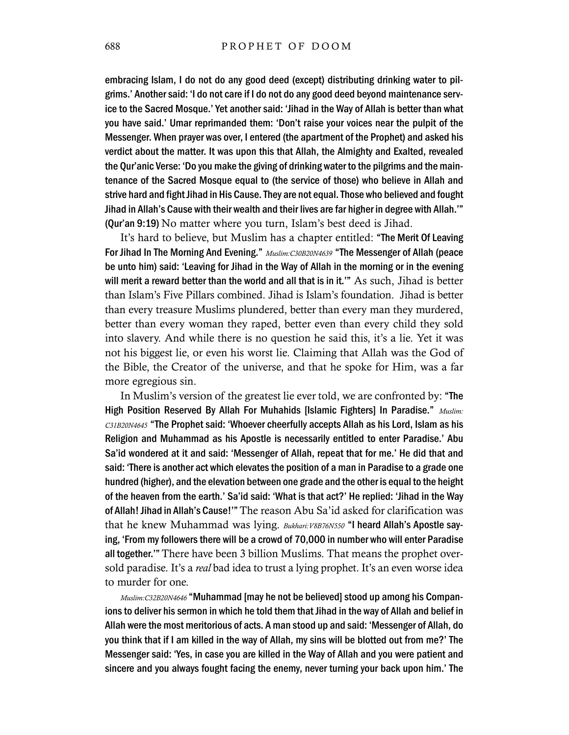embracing Islam, I do not do any good deed (except) distributing drinking water to pilgrims.' Another said: 'I do not care if I do not do any good deed beyond maintenance service to the Sacred Mosque.' Yet another said: 'Jihad in the Way of Allah is better than what you have said.' Umar reprimanded them: 'Don't raise your voices near the pulpit of the Messenger. When prayer was over, I entered (the apartment of the Prophet) and asked his verdict about the matter. It was upon this that Allah, the Almighty and Exalted, revealed the Qur'anic Verse: 'Do you make the giving of drinking water to the pilgrims and the maintenance of the Sacred Mosque equal to (the service of those) who believe in Allah and strive hard and fight Jihad in His Cause. They are not equal. Those who believed and fought Jihad in Allah's Cause with their wealth and their lives are far higher in degree with Allah.'" (Qur'an 9:19) No matter where you turn, Islam's best deed is Jihad.

It's hard to believe, but Muslim has a chapter entitled: "The Merit Of Leaving For Jihad In The Morning And Evening." *Muslim:C30B20N4639* "The Messenger of Allah (peace be unto him) said: 'Leaving for Jihad in the Way of Allah in the morning or in the evening will merit a reward better than the world and all that is in it." As such, Jihad is better than Islam's Five Pillars combined. Jihad is Islam's foundation. Jihad is better than every treasure Muslims plundered, better than every man they murdered, better than every woman they raped, better even than every child they sold into slavery. And while there is no question he said this, it's a lie. Yet it was not his biggest lie, or even his worst lie. Claiming that Allah was the God of the Bible, the Creator of the universe, and that he spoke for Him, was a far more egregious sin.

In Muslim's version of the greatest lie ever told, we are confronted by: "The High Position Reserved By Allah For Muhahids [Islamic Fighters] In Paradise." *Muslim: C31B20N4645* "The Prophet said: 'Whoever cheerfully accepts Allah as his Lord, Islam as his Religion and Muhammad as his Apostle is necessarily entitled to enter Paradise.' Abu Sa'id wondered at it and said: 'Messenger of Allah, repeat that for me.' He did that and said: 'There is another act which elevates the position of a man in Paradise to a grade one hundred (higher), and the elevation between one grade and the other is equal to the height of the heaven from the earth.' Sa'id said: 'What is that act?' He replied: 'Jihad in the Way of Allah! Jihad in Allah's Cause!'" The reason Abu Sa'id asked for clarification was that he knew Muhammad was lying. *Bukhari:V8B76N550* "I heard Allah's Apostle saying, 'From my followers there will be a crowd of 70,000 in number who will enter Paradise all together.'" There have been 3 billion Muslims. That means the prophet oversold paradise. It's a *real* bad idea to trust a lying prophet. It's an even worse idea to murder for one.

*Muslim:C32B20N4646* "Muhammad [may he not be believed] stood up among his Companions to deliver his sermon in which he told them that Jihad in the way of Allah and belief in Allah were the most meritorious of acts. A man stood up and said: 'Messenger of Allah, do you think that if I am killed in the way of Allah, my sins will be blotted out from me?' The Messenger said: 'Yes, in case you are killed in the Way of Allah and you were patient and sincere and you always fought facing the enemy, never turning your back upon him.' The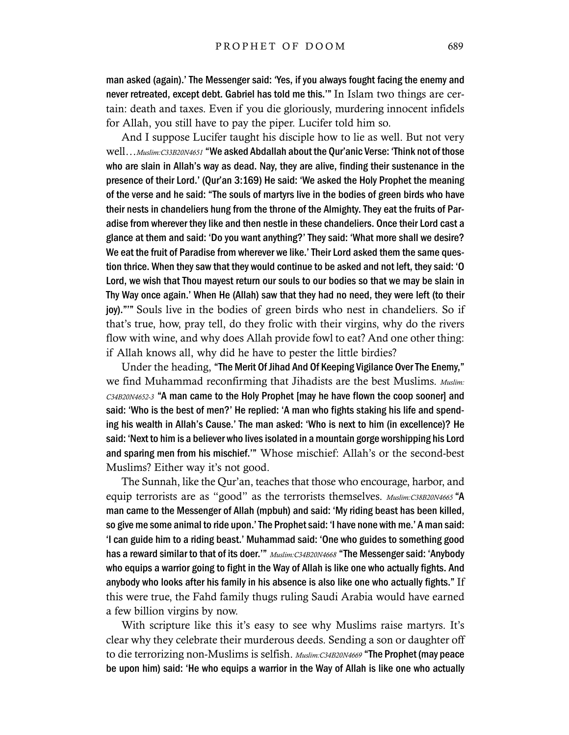man asked (again).' The Messenger said: 'Yes, if you always fought facing the enemy and never retreated, except debt. Gabriel has told me this.'" In Islam two things are certain: death and taxes. Even if you die gloriously, murdering innocent infidels for Allah, you still have to pay the piper. Lucifer told him so.

And I suppose Lucifer taught his disciple how to lie as well. But not very well…*Muslim:C33B20N4651* "We asked Abdallah about the Qur'anic Verse: 'Think not of those who are slain in Allah's way as dead. Nay, they are alive, finding their sustenance in the presence of their Lord.' (Qur'an 3:169) He said: 'We asked the Holy Prophet the meaning of the verse and he said: "The souls of martyrs live in the bodies of green birds who have their nests in chandeliers hung from the throne of the Almighty. They eat the fruits of Paradise from wherever they like and then nestle in these chandeliers. Once their Lord cast a glance at them and said: 'Do you want anything?' They said: 'What more shall we desire? We eat the fruit of Paradise from wherever we like.' Their Lord asked them the same question thrice. When they saw that they would continue to be asked and not left, they said: 'O Lord, we wish that Thou mayest return our souls to our bodies so that we may be slain in Thy Way once again.' When He (Allah) saw that they had no need, they were left (to their joy)."'" Souls live in the bodies of green birds who nest in chandeliers. So if that's true, how, pray tell, do they frolic with their virgins, why do the rivers flow with wine, and why does Allah provide fowl to eat? And one other thing: if Allah knows all, why did he have to pester the little birdies?

Under the heading, "The Merit Of Jihad And Of Keeping Vigilance Over The Enemy," we find Muhammad reconfirming that Jihadists are the best Muslims. *Muslim: C34B20N4652-3* "A man came to the Holy Prophet [may he have flown the coop sooner] and said: 'Who is the best of men?' He replied: 'A man who fights staking his life and spending his wealth in Allah's Cause.' The man asked: 'Who is next to him (in excellence)? He said: 'Next to him is a believer who lives isolated in a mountain gorge worshipping his Lord and sparing men from his mischief.'" Whose mischief: Allah's or the second-best Muslims? Either way it's not good.

The Sunnah, like the Qur'an, teaches that those who encourage, harbor, and equip terrorists are as "good" as the terrorists themselves. *Muslim:C38B20N4665* "A man came to the Messenger of Allah (mpbuh) and said: 'My riding beast has been killed, so give me some animal to ride upon.' The Prophet said: 'I have none with me.' A man said: 'I can guide him to a riding beast.' Muhammad said: 'One who guides to something good has a reward similar to that of its doer.'" *Muslim:C34B20N4668* "The Messenger said: 'Anybody who equips a warrior going to fight in the Way of Allah is like one who actually fights. And anybody who looks after his family in his absence is also like one who actually fights." If this were true, the Fahd family thugs ruling Saudi Arabia would have earned a few billion virgins by now.

With scripture like this it's easy to see why Muslims raise martyrs. It's clear why they celebrate their murderous deeds. Sending a son or daughter off to die terrorizing non-Muslims is selfish. *Muslim:C34B20N4669* "The Prophet (may peace be upon him) said: 'He who equips a warrior in the Way of Allah is like one who actually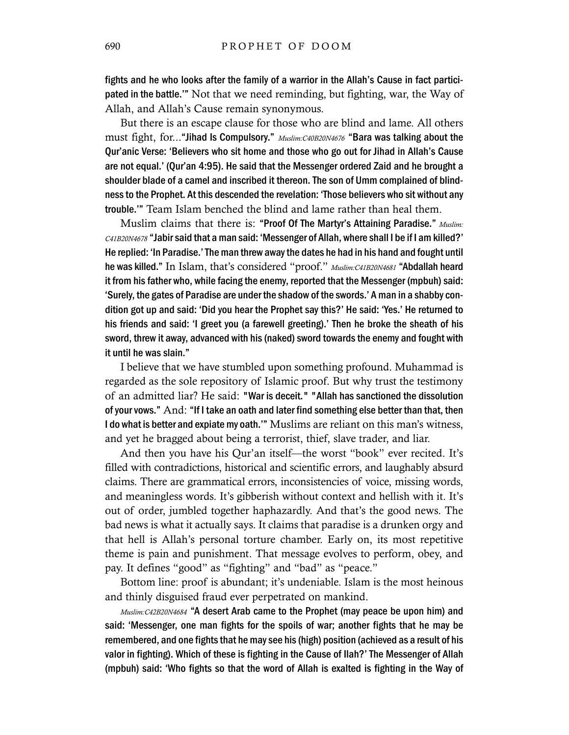fights and he who looks after the family of a warrior in the Allah's Cause in fact participated in the battle.'" Not that we need reminding, but fighting, war, the Way of Allah, and Allah's Cause remain synonymous.

But there is an escape clause for those who are blind and lame. All others must fight, for..."Jihad Is Compulsory." *Muslim:C40B20N4676* "Bara was talking about the Qur'anic Verse: 'Believers who sit home and those who go out for Jihad in Allah's Cause are not equal.' (Qur'an 4:95). He said that the Messenger ordered Zaid and he brought a shoulder blade of a camel and inscribed it thereon. The son of Umm complained of blindness to the Prophet. At this descended the revelation: 'Those believers who sit without any trouble.'" Team Islam benched the blind and lame rather than heal them.

Muslim claims that there is: "Proof Of The Martyr's Attaining Paradise." *Muslim: C41B20N4678* "Jabir said that a man said: 'Messenger of Allah, where shall I be if I am killed?' He replied: 'In Paradise.' The man threw away the dates he had in his hand and fought until he was killed." In Islam, that's considered "proof." *Muslim:C41B20N4681* "Abdallah heard it from his father who, while facing the enemy, reported that the Messenger (mpbuh) said: 'Surely, the gates of Paradise are under the shadow of the swords.' A man in a shabby condition got up and said: 'Did you hear the Prophet say this?' He said: 'Yes.' He returned to his friends and said: 'I greet you (a farewell greeting).' Then he broke the sheath of his sword, threw it away, advanced with his (naked) sword towards the enemy and fought with it until he was slain."

I believe that we have stumbled upon something profound. Muhammad is regarded as the sole repository of Islamic proof. But why trust the testimony of an admitted liar? He said: "War is deceit." "Allah has sanctioned the dissolution of your vows." And: "If I take an oath and later find something else better than that, then I do what is better and expiate my oath.'" Muslims are reliant on this man's witness, and yet he bragged about being a terrorist, thief, slave trader, and liar.

And then you have his Qur'an itself—the worst "book" ever recited. It's filled with contradictions, historical and scientific errors, and laughably absurd claims. There are grammatical errors, inconsistencies of voice, missing words, and meaningless words. It's gibberish without context and hellish with it. It's out of order, jumbled together haphazardly. And that's the good news. The bad news is what it actually says. It claims that paradise is a drunken orgy and that hell is Allah's personal torture chamber. Early on, its most repetitive theme is pain and punishment. That message evolves to perform, obey, and pay. It defines "good" as "fighting" and "bad" as "peace."

Bottom line: proof is abundant; it's undeniable. Islam is the most heinous and thinly disguised fraud ever perpetrated on mankind.

*Muslim:C42B20N4684* "A desert Arab came to the Prophet (may peace be upon him) and said: 'Messenger, one man fights for the spoils of war; another fights that he may be remembered, and one fights that he may see his (high) position (achieved as a result of his valor in fighting). Which of these is fighting in the Cause of Ilah?' The Messenger of Allah (mpbuh) said: 'Who fights so that the word of Allah is exalted is fighting in the Way of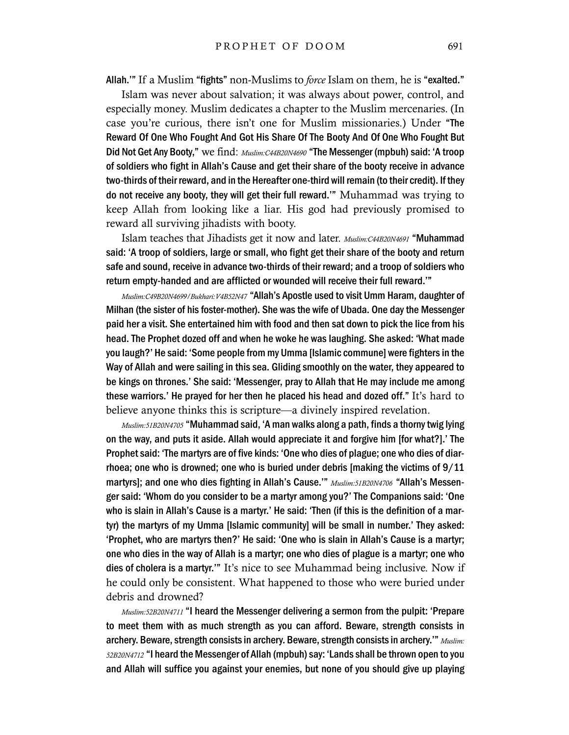Allah.'" If a Muslim "fights" non-Muslims to *force* Islam on them, he is "exalted."

Islam was never about salvation; it was always about power, control, and especially money. Muslim dedicates a chapter to the Muslim mercenaries. (In case you're curious, there isn't one for Muslim missionaries.) Under "The Reward Of One Who Fought And Got His Share Of The Booty And Of One Who Fought But Did Not Get Any Booty," we find: *Muslim:C44B20N4690* "The Messenger (mpbuh) said: 'A troop of soldiers who fight in Allah's Cause and get their share of the booty receive in advance two-thirds of their reward, and in the Hereafter one-third will remain (to their credit). If they do not receive any booty, they will get their full reward.'" Muhammad was trying to keep Allah from looking like a liar. His god had previously promised to reward all surviving jihadists with booty.

Islam teaches that Jihadists get it now and later. *Muslim:C44B20N4691* "Muhammad said: 'A troop of soldiers, large or small, who fight get their share of the booty and return safe and sound, receive in advance two-thirds of their reward; and a troop of soldiers who return empty-handed and are afflicted or wounded will receive their full reward.'"

*Muslim:C49B20N4699/Bukhari:V4B52N47* "Allah's Apostle used to visit Umm Haram, daughter of Milhan (the sister of his foster-mother). She was the wife of Ubada. One day the Messenger paid her a visit. She entertained him with food and then sat down to pick the lice from his head. The Prophet dozed off and when he woke he was laughing. She asked: 'What made you laugh?' He said: 'Some people from my Umma [Islamic commune] were fighters in the Way of Allah and were sailing in this sea. Gliding smoothly on the water, they appeared to be kings on thrones.' She said: 'Messenger, pray to Allah that He may include me among these warriors.' He prayed for her then he placed his head and dozed off." It's hard to believe anyone thinks this is scripture—a divinely inspired revelation.

*Muslim:51B20N4705* "Muhammad said, 'A man walks along a path, finds a thorny twig lying on the way, and puts it aside. Allah would appreciate it and forgive him [for what?].' The Prophet said: 'The martyrs are of five kinds: 'One who dies of plague; one who dies of diarrhoea; one who is drowned; one who is buried under debris [making the victims of 9/11 martyrs]; and one who dies fighting in Allah's Cause.'" *Muslim:51B20N4706* "Allah's Messenger said: 'Whom do you consider to be a martyr among you?' The Companions said: 'One who is slain in Allah's Cause is a martyr.' He said: 'Then (if this is the definition of a martyr) the martyrs of my Umma [Islamic community] will be small in number.' They asked: 'Prophet, who are martyrs then?' He said: 'One who is slain in Allah's Cause is a martyr; one who dies in the way of Allah is a martyr; one who dies of plague is a martyr; one who dies of cholera is a martyr.'" It's nice to see Muhammad being inclusive. Now if he could only be consistent. What happened to those who were buried under debris and drowned?

*Muslim:52B20N4711* "I heard the Messenger delivering a sermon from the pulpit: 'Prepare to meet them with as much strength as you can afford. Beware, strength consists in archery. Beware, strength consists in archery. Beware, strength consists in archery.'" *Muslim: 52B20N4712* "I heard the Messenger of Allah (mpbuh) say: 'Lands shall be thrown open to you and Allah will suffice you against your enemies, but none of you should give up playing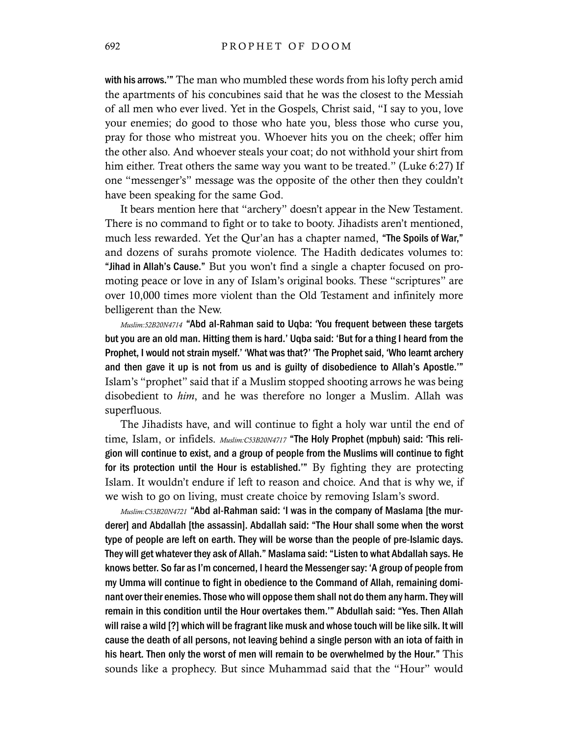with his arrows.'" The man who mumbled these words from his lofty perch amid the apartments of his concubines said that he was the closest to the Messiah of all men who ever lived. Yet in the Gospels, Christ said, "I say to you, love your enemies; do good to those who hate you, bless those who curse you, pray for those who mistreat you. Whoever hits you on the cheek; offer him the other also. And whoever steals your coat; do not withhold your shirt from him either. Treat others the same way you want to be treated." (Luke 6:27) If one "messenger's" message was the opposite of the other then they couldn't have been speaking for the same God.

It bears mention here that "archery" doesn't appear in the New Testament. There is no command to fight or to take to booty. Jihadists aren't mentioned, much less rewarded. Yet the Qur'an has a chapter named, "The Spoils of War," and dozens of surahs promote violence. The Hadith dedicates volumes to: "Jihad in Allah's Cause." But you won't find a single a chapter focused on promoting peace or love in any of Islam's original books. These "scriptures" are over 10,000 times more violent than the Old Testament and infinitely more belligerent than the New.

*Muslim:52B20N4714* "Abd al-Rahman said to Uqba: 'You frequent between these targets but you are an old man. Hitting them is hard.' Uqba said: 'But for a thing I heard from the Prophet, I would not strain myself.' 'What was that?' 'The Prophet said, 'Who learnt archery and then gave it up is not from us and is guilty of disobedience to Allah's Apostle.'" Islam's "prophet" said that if a Muslim stopped shooting arrows he was being disobedient to *him*, and he was therefore no longer a Muslim. Allah was superfluous.

The Jihadists have, and will continue to fight a holy war until the end of time, Islam, or infidels. *Muslim:C53B20N4717* "The Holy Prophet (mpbuh) said: 'This religion will continue to exist, and a group of people from the Muslims will continue to fight for its protection until the Hour is established.'" By fighting they are protecting Islam. It wouldn't endure if left to reason and choice. And that is why we, if we wish to go on living, must create choice by removing Islam's sword.

*Muslim:C53B20N4721* "Abd al-Rahman said: 'I was in the company of Maslama [the murderer] and Abdallah [the assassin]. Abdallah said: "The Hour shall some when the worst type of people are left on earth. They will be worse than the people of pre-Islamic days. They will get whatever they ask of Allah." Maslama said: "Listen to what Abdallah says. He knows better. So far as I'm concerned, I heard the Messenger say: 'A group of people from my Umma will continue to fight in obedience to the Command of Allah, remaining dominant over their enemies. Those who will oppose them shall not do them any harm. They will remain in this condition until the Hour overtakes them.'" Abdullah said: "Yes. Then Allah will raise a wild [?] which will be fragrant like musk and whose touch will be like silk. It will cause the death of all persons, not leaving behind a single person with an iota of faith in his heart. Then only the worst of men will remain to be overwhelmed by the Hour." This sounds like a prophecy. But since Muhammad said that the "Hour" would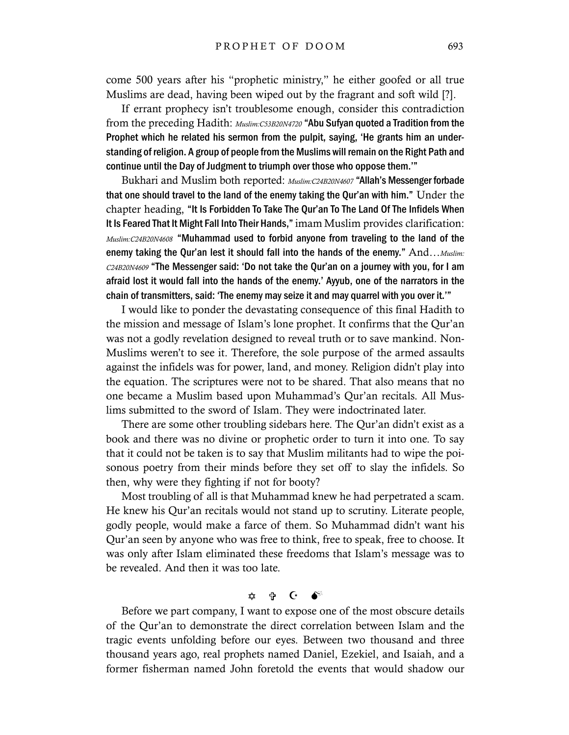come 500 years after his "prophetic ministry," he either goofed or all true Muslims are dead, having been wiped out by the fragrant and soft wild [?].

If errant prophecy isn't troublesome enough, consider this contradiction from the preceding Hadith: *Muslim:C53B20N4720* "Abu Sufyan quoted a Tradition from the Prophet which he related his sermon from the pulpit, saying, 'He grants him an understanding of religion. A group of people from the Muslims will remain on the Right Path and continue until the Day of Judgment to triumph over those who oppose them.'"

Bukhari and Muslim both reported: *Muslim:C24B20N4607* "Allah's Messenger forbade that one should travel to the land of the enemy taking the Qur'an with him." Under the chapter heading, "It Is Forbidden To Take The Qur'an To The Land Of The Infidels When It Is Feared That It Might Fall Into Their Hands," imam Muslim provides clarification: *Muslim:C24B20N4608* "Muhammad used to forbid anyone from traveling to the land of the enemy taking the Qur'an lest it should fall into the hands of the enemy." And…*Muslim: C24B20N4609* "The Messenger said: 'Do not take the Qur'an on a journey with you, for I am afraid lost it would fall into the hands of the enemy.' Ayyub, one of the narrators in the chain of transmitters, said: 'The enemy may seize it and may quarrel with you over it.'"

I would like to ponder the devastating consequence of this final Hadith to the mission and message of Islam's lone prophet. It confirms that the Qur'an was not a godly revelation designed to reveal truth or to save mankind. Non-Muslims weren't to see it. Therefore, the sole purpose of the armed assaults against the infidels was for power, land, and money. Religion didn't play into the equation. The scriptures were not to be shared. That also means that no one became a Muslim based upon Muhammad's Qur'an recitals. All Muslims submitted to the sword of Islam. They were indoctrinated later.

There are some other troubling sidebars here. The Qur'an didn't exist as a book and there was no divine or prophetic order to turn it into one. To say that it could not be taken is to say that Muslim militants had to wipe the poisonous poetry from their minds before they set off to slay the infidels. So then, why were they fighting if not for booty?

Most troubling of all is that Muhammad knew he had perpetrated a scam. He knew his Qur'an recitals would not stand up to scrutiny. Literate people, godly people, would make a farce of them. So Muhammad didn't want his Qur'an seen by anyone who was free to think, free to speak, free to choose. It was only after Islam eliminated these freedoms that Islam's message was to be revealed. And then it was too late.

## $\quad \, \Leftrightarrow \quad \, \mathbb{G}^* \quad \, \mathbb{G}^*$

Before we part company, I want to expose one of the most obscure details of the Qur'an to demonstrate the direct correlation between Islam and the tragic events unfolding before our eyes. Between two thousand and three thousand years ago, real prophets named Daniel, Ezekiel, and Isaiah, and a former fisherman named John foretold the events that would shadow our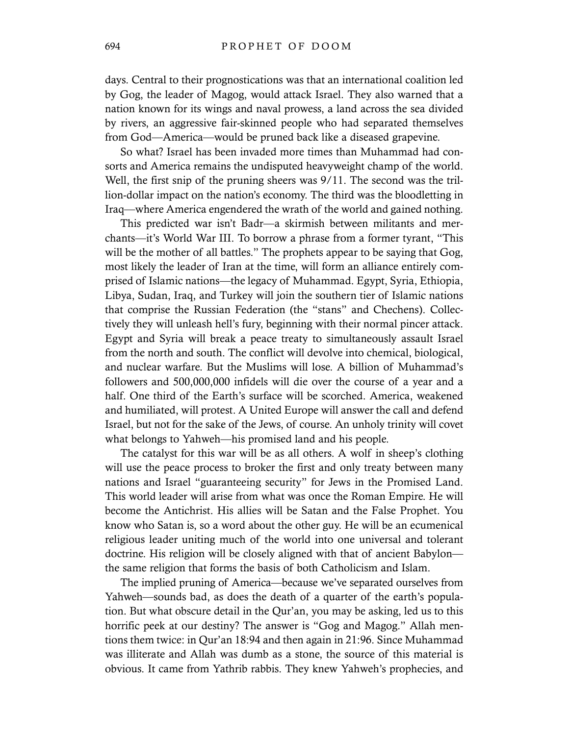days. Central to their prognostications was that an international coalition led by Gog, the leader of Magog, would attack Israel. They also warned that a nation known for its wings and naval prowess, a land across the sea divided by rivers, an aggressive fair-skinned people who had separated themselves from God—America—would be pruned back like a diseased grapevine.

So what? Israel has been invaded more times than Muhammad had consorts and America remains the undisputed heavyweight champ of the world. Well, the first snip of the pruning sheers was 9/11. The second was the trillion-dollar impact on the nation's economy. The third was the bloodletting in Iraq—where America engendered the wrath of the world and gained nothing.

This predicted war isn't Badr—a skirmish between militants and merchants—it's World War III. To borrow a phrase from a former tyrant, "This will be the mother of all battles." The prophets appear to be saying that Gog, most likely the leader of Iran at the time, will form an alliance entirely comprised of Islamic nations—the legacy of Muhammad. Egypt, Syria, Ethiopia, Libya, Sudan, Iraq, and Turkey will join the southern tier of Islamic nations that comprise the Russian Federation (the "stans" and Chechens). Collectively they will unleash hell's fury, beginning with their normal pincer attack. Egypt and Syria will break a peace treaty to simultaneously assault Israel from the north and south. The conflict will devolve into chemical, biological, and nuclear warfare. But the Muslims will lose. A billion of Muhammad's followers and 500,000,000 infidels will die over the course of a year and a half. One third of the Earth's surface will be scorched. America, weakened and humiliated, will protest. A United Europe will answer the call and defend Israel, but not for the sake of the Jews, of course. An unholy trinity will covet what belongs to Yahweh—his promised land and his people.

The catalyst for this war will be as all others. A wolf in sheep's clothing will use the peace process to broker the first and only treaty between many nations and Israel "guaranteeing security" for Jews in the Promised Land. This world leader will arise from what was once the Roman Empire. He will become the Antichrist. His allies will be Satan and the False Prophet. You know who Satan is, so a word about the other guy. He will be an ecumenical religious leader uniting much of the world into one universal and tolerant doctrine. His religion will be closely aligned with that of ancient Babylon the same religion that forms the basis of both Catholicism and Islam.

The implied pruning of America—because we've separated ourselves from Yahweh—sounds bad, as does the death of a quarter of the earth's population. But what obscure detail in the Qur'an, you may be asking, led us to this horrific peek at our destiny? The answer is "Gog and Magog." Allah mentions them twice: in Qur'an 18:94 and then again in 21:96. Since Muhammad was illiterate and Allah was dumb as a stone, the source of this material is obvious. It came from Yathrib rabbis. They knew Yahweh's prophecies, and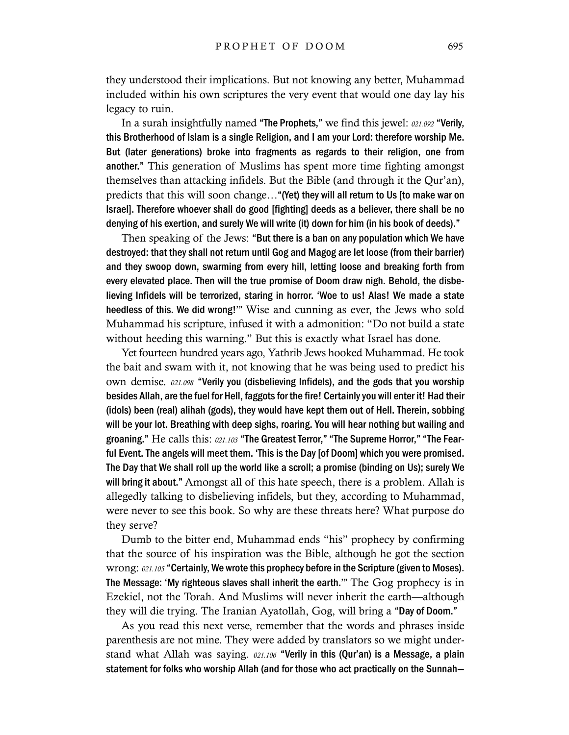they understood their implications. But not knowing any better, Muhammad included within his own scriptures the very event that would one day lay his legacy to ruin.

In a surah insightfully named "The Prophets," we find this jewel: *021.092* "Verily, this Brotherhood of Islam is a single Religion, and I am your Lord: therefore worship Me. But (later generations) broke into fragments as regards to their religion, one from another." This generation of Muslims has spent more time fighting amongst themselves than attacking infidels. But the Bible (and through it the Qur'an), predicts that this will soon change…"(Yet) they will all return to Us [to make war on Israel]. Therefore whoever shall do good [fighting] deeds as a believer, there shall be no denying of his exertion, and surely We will write (it) down for him (in his book of deeds)."

Then speaking of the Jews: "But there is a ban on any population which We have destroyed: that they shall not return until Gog and Magog are let loose (from their barrier) and they swoop down, swarming from every hill, letting loose and breaking forth from every elevated place. Then will the true promise of Doom draw nigh. Behold, the disbelieving Infidels will be terrorized, staring in horror. 'Woe to us! Alas! We made a state heedless of this. We did wrong!'" Wise and cunning as ever, the Jews who sold Muhammad his scripture, infused it with a admonition: "Do not build a state without heeding this warning." But this is exactly what Israel has done.

Yet fourteen hundred years ago, Yathrib Jews hooked Muhammad. He took the bait and swam with it, not knowing that he was being used to predict his own demise. *021.098* "Verily you (disbelieving Infidels), and the gods that you worship besides Allah, are the fuel for Hell, faggots for the fire! Certainly you will enter it! Had their (idols) been (real) alihah (gods), they would have kept them out of Hell. Therein, sobbing will be your lot. Breathing with deep sighs, roaring. You will hear nothing but wailing and groaning." He calls this: *021.103* "The Greatest Terror," "The Supreme Horror," "The Fearful Event. The angels will meet them. 'This is the Day [of Doom] which you were promised. The Day that We shall roll up the world like a scroll; a promise (binding on Us); surely We will bring it about." Amongst all of this hate speech, there is a problem. Allah is allegedly talking to disbelieving infidels, but they, according to Muhammad, were never to see this book. So why are these threats here? What purpose do they serve?

Dumb to the bitter end, Muhammad ends "his" prophecy by confirming that the source of his inspiration was the Bible, although he got the section wrong: *021.105* "Certainly, We wrote this prophecy before in the Scripture (given to Moses). The Message: 'My righteous slaves shall inherit the earth.'" The Gog prophecy is in Ezekiel, not the Torah. And Muslims will never inherit the earth—although they will die trying. The Iranian Ayatollah, Gog, will bring a "Day of Doom."

As you read this next verse, remember that the words and phrases inside parenthesis are not mine. They were added by translators so we might understand what Allah was saying. *021.106* "Verily in this (Qur'an) is a Message, a plain statement for folks who worship Allah (and for those who act practically on the Sunnah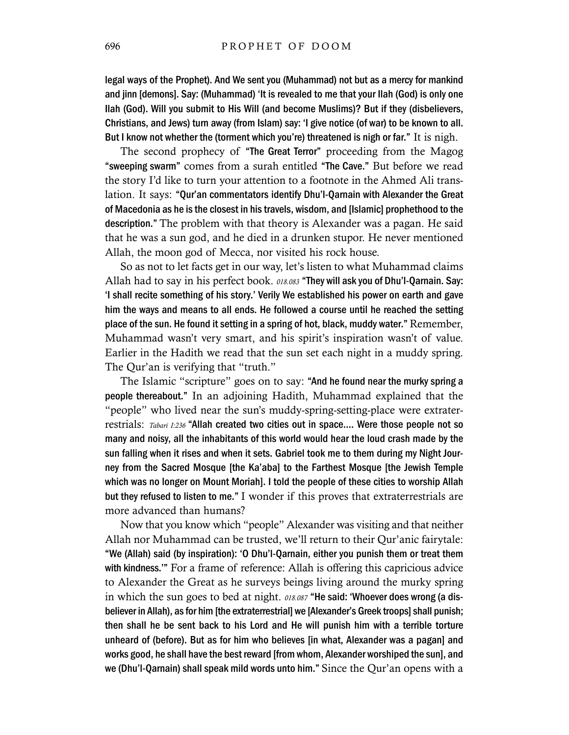legal ways of the Prophet). And We sent you (Muhammad) not but as a mercy for mankind and jinn [demons]. Say: (Muhammad) 'It is revealed to me that your Ilah (God) is only one Ilah (God). Will you submit to His Will (and become Muslims)? But if they (disbelievers, Christians, and Jews) turn away (from Islam) say: 'I give notice (of war) to be known to all. But I know not whether the (torment which you're) threatened is nigh or far." It is nigh.

The second prophecy of "The Great Terror" proceeding from the Magog "sweeping swarm" comes from a surah entitled "The Cave." But before we read the story I'd like to turn your attention to a footnote in the Ahmed Ali translation. It says: "Qur'an commentators identify Dhu'l-Qarnain with Alexander the Great of Macedonia as he is the closest in his travels, wisdom, and [Islamic] prophethood to the description." The problem with that theory is Alexander was a pagan. He said that he was a sun god, and he died in a drunken stupor. He never mentioned Allah, the moon god of Mecca, nor visited his rock house.

So as not to let facts get in our way, let's listen to what Muhammad claims Allah had to say in his perfect book. *018.083* "They will ask you of Dhu'l-Qarnain. Say: 'I shall recite something of his story.' Verily We established his power on earth and gave him the ways and means to all ends. He followed a course until he reached the setting place of the sun. He found it setting in a spring of hot, black, muddy water." Remember, Muhammad wasn't very smart, and his spirit's inspiration wasn't of value. Earlier in the Hadith we read that the sun set each night in a muddy spring. The Qur'an is verifying that "truth."

The Islamic "scripture" goes on to say: "And he found near the murky spring a people thereabout." In an adjoining Hadith, Muhammad explained that the "people" who lived near the sun's muddy-spring-setting-place were extraterrestrials: *Tabari I:236* "Allah created two cities out in space…. Were those people not so many and noisy, all the inhabitants of this world would hear the loud crash made by the sun falling when it rises and when it sets. Gabriel took me to them during my Night Journey from the Sacred Mosque [the Ka'aba] to the Farthest Mosque [the Jewish Temple which was no longer on Mount Moriah]. I told the people of these cities to worship Allah but they refused to listen to me." I wonder if this proves that extraterrestrials are more advanced than humans?

Now that you know which "people" Alexander was visiting and that neither Allah nor Muhammad can be trusted, we'll return to their Qur'anic fairytale: "We (Allah) said (by inspiration): 'O Dhu'l-Qarnain, either you punish them or treat them with kindness.'" For a frame of reference: Allah is offering this capricious advice to Alexander the Great as he surveys beings living around the murky spring in which the sun goes to bed at night. *018.087* "He said: 'Whoever does wrong (a disbeliever in Allah), as for him [the extraterrestrial] we [Alexander's Greek troops] shall punish; then shall he be sent back to his Lord and He will punish him with a terrible torture unheard of (before). But as for him who believes [in what, Alexander was a pagan] and works good, he shall have the best reward [from whom, Alexander worshiped the sun], and we (Dhu'l-Qarnain) shall speak mild words unto him." Since the Qur'an opens with a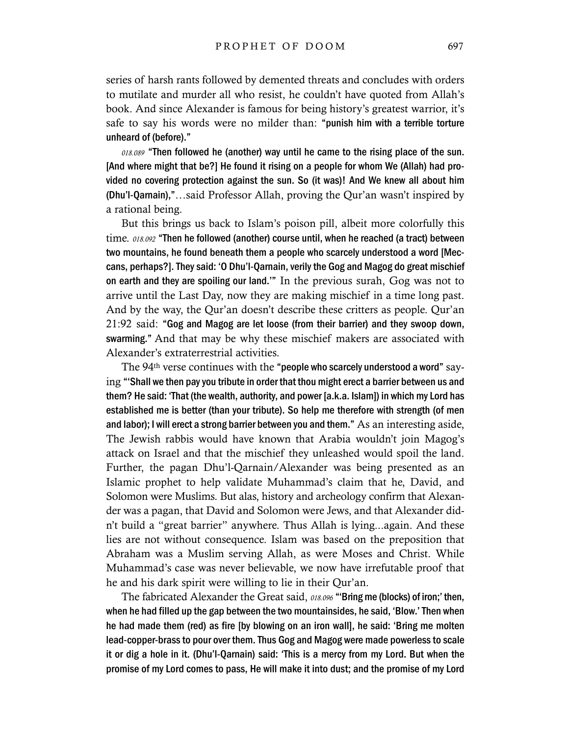series of harsh rants followed by demented threats and concludes with orders to mutilate and murder all who resist, he couldn't have quoted from Allah's book. And since Alexander is famous for being history's greatest warrior, it's safe to say his words were no milder than: "punish him with a terrible torture unheard of (before)."

*018.089* "Then followed he (another) way until he came to the rising place of the sun. [And where might that be?] He found it rising on a people for whom We (Allah) had provided no covering protection against the sun. So (it was)! And We knew all about him (Dhu'l-Qarnain),"…said Professor Allah, proving the Qur'an wasn't inspired by a rational being.

But this brings us back to Islam's poison pill, albeit more colorfully this time. *018.092* "Then he followed (another) course until, when he reached (a tract) between two mountains, he found beneath them a people who scarcely understood a word [Meccans, perhaps?]. They said: 'O Dhu'l-Qarnain, verily the Gog and Magog do great mischief on earth and they are spoiling our land.'" In the previous surah, Gog was not to arrive until the Last Day, now they are making mischief in a time long past. And by the way, the Qur'an doesn't describe these critters as people. Qur'an 21:92 said: "Gog and Magog are let loose (from their barrier) and they swoop down, swarming." And that may be why these mischief makers are associated with Alexander's extraterrestrial activities.

The 94th verse continues with the "people who scarcely understood a word" saying "'Shall we then pay you tribute in order that thou might erect a barrier between us and them? He said: 'That (the wealth, authority, and power [a.k.a. Islam]) in which my Lord has established me is better (than your tribute). So help me therefore with strength (of men and labor); I will erect a strong barrier between you and them." As an interesting aside, The Jewish rabbis would have known that Arabia wouldn't join Magog's attack on Israel and that the mischief they unleashed would spoil the land. Further, the pagan Dhu'l-Qarnain/Alexander was being presented as an Islamic prophet to help validate Muhammad's claim that he, David, and Solomon were Muslims. But alas, history and archeology confirm that Alexander was a pagan, that David and Solomon were Jews, and that Alexander didn't build a "great barrier" anywhere. Thus Allah is lying...again. And these lies are not without consequence. Islam was based on the preposition that Abraham was a Muslim serving Allah, as were Moses and Christ. While Muhammad's case was never believable, we now have irrefutable proof that he and his dark spirit were willing to lie in their Qur'an.

The fabricated Alexander the Great said, *018.096* "'Bring me (blocks) of iron;' then, when he had filled up the gap between the two mountainsides, he said, 'Blow.' Then when he had made them (red) as fire [by blowing on an iron wall], he said: 'Bring me molten lead-copper-brass to pour over them. Thus Gog and Magog were made powerless to scale it or dig a hole in it. (Dhu'l-Qarnain) said: 'This is a mercy from my Lord. But when the promise of my Lord comes to pass, He will make it into dust; and the promise of my Lord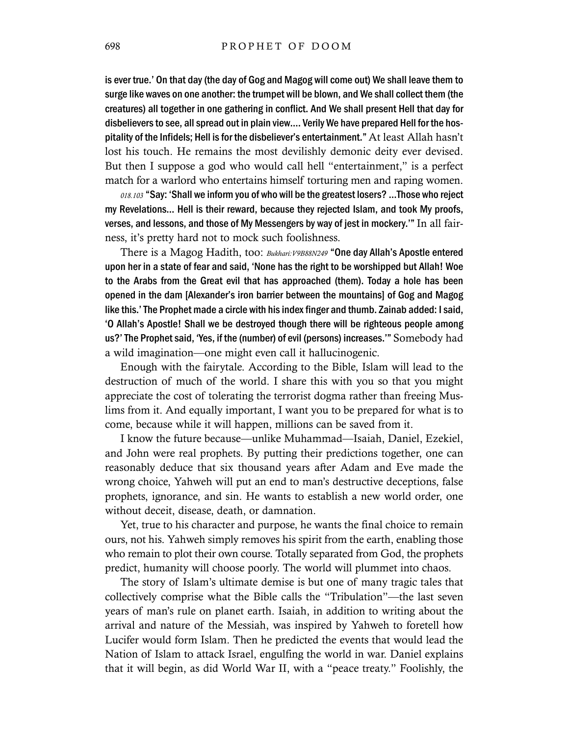is ever true.' On that day (the day of Gog and Magog will come out) We shall leave them to surge like waves on one another: the trumpet will be blown, and We shall collect them (the creatures) all together in one gathering in conflict. And We shall present Hell that day for disbelievers to see, all spread out in plain view…. Verily We have prepared Hell for the hospitality of the Infidels; Hell is for the disbeliever's entertainment." At least Allah hasn't lost his touch. He remains the most devilishly demonic deity ever devised. But then I suppose a god who would call hell "entertainment," is a perfect match for a warlord who entertains himself torturing men and raping women.

*018.103* "Say: 'Shall we inform you of who will be the greatest losers? …Those who reject my Revelations… Hell is their reward, because they rejected Islam, and took My proofs, verses, and lessons, and those of My Messengers by way of jest in mockery.'" In all fairness, it's pretty hard not to mock such foolishness.

There is a Magog Hadith, too: *Bukhari:V9B88N249* "One day Allah's Apostle entered upon her in a state of fear and said, 'None has the right to be worshipped but Allah! Woe to the Arabs from the Great evil that has approached (them). Today a hole has been opened in the dam [Alexander's iron barrier between the mountains] of Gog and Magog like this.' The Prophet made a circle with his index finger and thumb. Zainab added: I said, 'O Allah's Apostle! Shall we be destroyed though there will be righteous people among us?' The Prophet said, 'Yes, if the (number) of evil (persons) increases.'" Somebody had a wild imagination—one might even call it hallucinogenic.

Enough with the fairytale. According to the Bible, Islam will lead to the destruction of much of the world. I share this with you so that you might appreciate the cost of tolerating the terrorist dogma rather than freeing Muslims from it. And equally important, I want you to be prepared for what is to come, because while it will happen, millions can be saved from it.

I know the future because—unlike Muhammad—Isaiah, Daniel, Ezekiel, and John were real prophets. By putting their predictions together, one can reasonably deduce that six thousand years after Adam and Eve made the wrong choice, Yahweh will put an end to man's destructive deceptions, false prophets, ignorance, and sin. He wants to establish a new world order, one without deceit, disease, death, or damnation.

Yet, true to his character and purpose, he wants the final choice to remain ours, not his. Yahweh simply removes his spirit from the earth, enabling those who remain to plot their own course. Totally separated from God, the prophets predict, humanity will choose poorly. The world will plummet into chaos.

The story of Islam's ultimate demise is but one of many tragic tales that collectively comprise what the Bible calls the "Tribulation"—the last seven years of man's rule on planet earth. Isaiah, in addition to writing about the arrival and nature of the Messiah, was inspired by Yahweh to foretell how Lucifer would form Islam. Then he predicted the events that would lead the Nation of Islam to attack Israel, engulfing the world in war. Daniel explains that it will begin, as did World War II, with a "peace treaty." Foolishly, the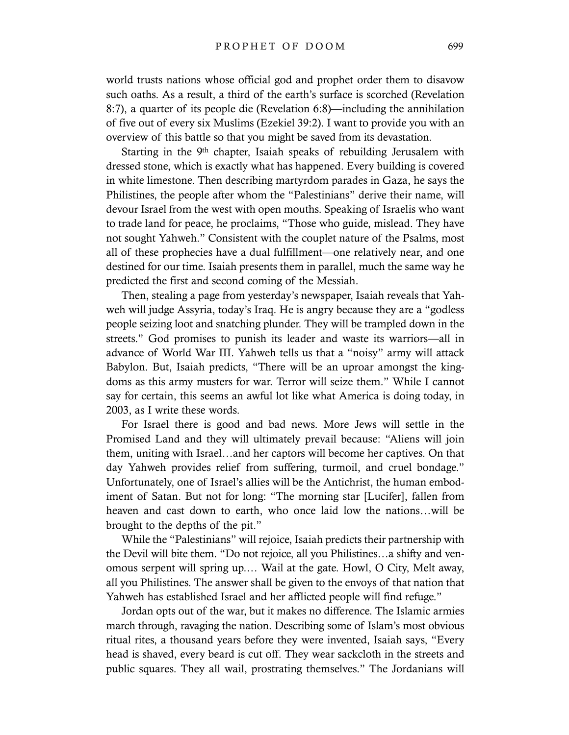world trusts nations whose official god and prophet order them to disavow such oaths. As a result, a third of the earth's surface is scorched (Revelation 8:7), a quarter of its people die (Revelation 6:8)—including the annihilation of five out of every six Muslims (Ezekiel 39:2). I want to provide you with an overview of this battle so that you might be saved from its devastation.

Starting in the 9th chapter, Isaiah speaks of rebuilding Jerusalem with dressed stone, which is exactly what has happened. Every building is covered in white limestone. Then describing martyrdom parades in Gaza, he says the Philistines, the people after whom the "Palestinians" derive their name, will devour Israel from the west with open mouths. Speaking of Israelis who want to trade land for peace, he proclaims, "Those who guide, mislead. They have not sought Yahweh." Consistent with the couplet nature of the Psalms, most all of these prophecies have a dual fulfillment—one relatively near, and one destined for our time. Isaiah presents them in parallel, much the same way he predicted the first and second coming of the Messiah.

Then, stealing a page from yesterday's newspaper, Isaiah reveals that Yahweh will judge Assyria, today's Iraq. He is angry because they are a "godless people seizing loot and snatching plunder. They will be trampled down in the streets." God promises to punish its leader and waste its warriors—all in advance of World War III. Yahweh tells us that a "noisy" army will attack Babylon. But, Isaiah predicts, "There will be an uproar amongst the kingdoms as this army musters for war. Terror will seize them." While I cannot say for certain, this seems an awful lot like what America is doing today, in 2003, as I write these words.

For Israel there is good and bad news. More Jews will settle in the Promised Land and they will ultimately prevail because: "Aliens will join them, uniting with Israel…and her captors will become her captives. On that day Yahweh provides relief from suffering, turmoil, and cruel bondage." Unfortunately, one of Israel's allies will be the Antichrist, the human embodiment of Satan. But not for long: "The morning star [Lucifer], fallen from heaven and cast down to earth, who once laid low the nations…will be brought to the depths of the pit."

While the "Palestinians" will rejoice, Isaiah predicts their partnership with the Devil will bite them. "Do not rejoice, all you Philistines…a shifty and venomous serpent will spring up.… Wail at the gate. Howl, O City, Melt away, all you Philistines. The answer shall be given to the envoys of that nation that Yahweh has established Israel and her afflicted people will find refuge."

Jordan opts out of the war, but it makes no difference. The Islamic armies march through, ravaging the nation. Describing some of Islam's most obvious ritual rites, a thousand years before they were invented, Isaiah says, "Every head is shaved, every beard is cut off. They wear sackcloth in the streets and public squares. They all wail, prostrating themselves." The Jordanians will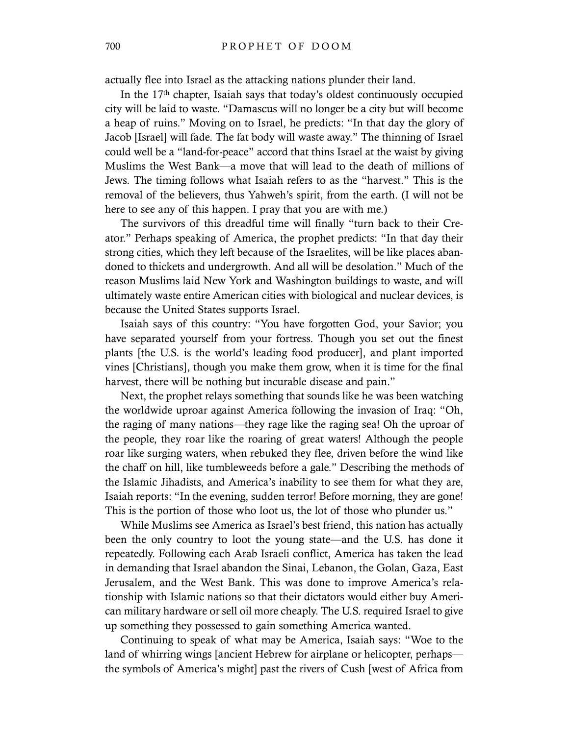actually flee into Israel as the attacking nations plunder their land.

In the 17th chapter, Isaiah says that today's oldest continuously occupied city will be laid to waste. "Damascus will no longer be a city but will become a heap of ruins." Moving on to Israel, he predicts: "In that day the glory of Jacob [Israel] will fade. The fat body will waste away." The thinning of Israel could well be a "land-for-peace" accord that thins Israel at the waist by giving Muslims the West Bank—a move that will lead to the death of millions of Jews. The timing follows what Isaiah refers to as the "harvest." This is the removal of the believers, thus Yahweh's spirit, from the earth. (I will not be here to see any of this happen. I pray that you are with me.)

The survivors of this dreadful time will finally "turn back to their Creator." Perhaps speaking of America, the prophet predicts: "In that day their strong cities, which they left because of the Israelites, will be like places abandoned to thickets and undergrowth. And all will be desolation." Much of the reason Muslims laid New York and Washington buildings to waste, and will ultimately waste entire American cities with biological and nuclear devices, is because the United States supports Israel.

Isaiah says of this country: "You have forgotten God, your Savior; you have separated yourself from your fortress. Though you set out the finest plants [the U.S. is the world's leading food producer], and plant imported vines [Christians], though you make them grow, when it is time for the final harvest, there will be nothing but incurable disease and pain."

Next, the prophet relays something that sounds like he was been watching the worldwide uproar against America following the invasion of Iraq: "Oh, the raging of many nations—they rage like the raging sea! Oh the uproar of the people, they roar like the roaring of great waters! Although the people roar like surging waters, when rebuked they flee, driven before the wind like the chaff on hill, like tumbleweeds before a gale." Describing the methods of the Islamic Jihadists, and America's inability to see them for what they are, Isaiah reports: "In the evening, sudden terror! Before morning, they are gone! This is the portion of those who loot us, the lot of those who plunder us."

While Muslims see America as Israel's best friend, this nation has actually been the only country to loot the young state—and the U.S. has done it repeatedly. Following each Arab Israeli conflict, America has taken the lead in demanding that Israel abandon the Sinai, Lebanon, the Golan, Gaza, East Jerusalem, and the West Bank. This was done to improve America's relationship with Islamic nations so that their dictators would either buy American military hardware or sell oil more cheaply. The U.S. required Israel to give up something they possessed to gain something America wanted.

Continuing to speak of what may be America, Isaiah says: "Woe to the land of whirring wings [ancient Hebrew for airplane or helicopter, perhaps the symbols of America's might] past the rivers of Cush [west of Africa from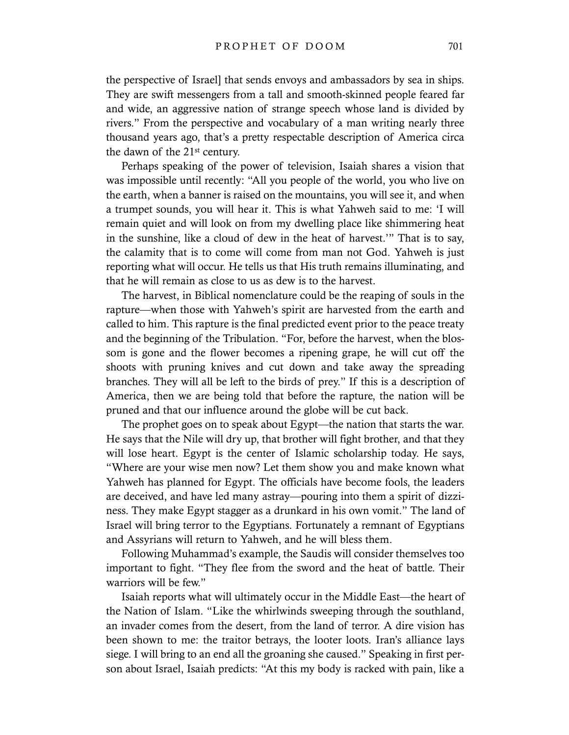the perspective of Israel] that sends envoys and ambassadors by sea in ships. They are swift messengers from a tall and smooth-skinned people feared far and wide, an aggressive nation of strange speech whose land is divided by rivers." From the perspective and vocabulary of a man writing nearly three thousand years ago, that's a pretty respectable description of America circa the dawn of the 21st century.

Perhaps speaking of the power of television, Isaiah shares a vision that was impossible until recently: "All you people of the world, you who live on the earth, when a banner is raised on the mountains, you will see it, and when a trumpet sounds, you will hear it. This is what Yahweh said to me: 'I will remain quiet and will look on from my dwelling place like shimmering heat in the sunshine, like a cloud of dew in the heat of harvest.'" That is to say, the calamity that is to come will come from man not God. Yahweh is just reporting what will occur. He tells us that His truth remains illuminating, and that he will remain as close to us as dew is to the harvest.

The harvest, in Biblical nomenclature could be the reaping of souls in the rapture—when those with Yahweh's spirit are harvested from the earth and called to him. This rapture is the final predicted event prior to the peace treaty and the beginning of the Tribulation. "For, before the harvest, when the blossom is gone and the flower becomes a ripening grape, he will cut off the shoots with pruning knives and cut down and take away the spreading branches. They will all be left to the birds of prey." If this is a description of America, then we are being told that before the rapture, the nation will be pruned and that our influence around the globe will be cut back.

The prophet goes on to speak about Egypt—the nation that starts the war. He says that the Nile will dry up, that brother will fight brother, and that they will lose heart. Egypt is the center of Islamic scholarship today. He says, "Where are your wise men now? Let them show you and make known what Yahweh has planned for Egypt. The officials have become fools, the leaders are deceived, and have led many astray—pouring into them a spirit of dizziness. They make Egypt stagger as a drunkard in his own vomit." The land of Israel will bring terror to the Egyptians. Fortunately a remnant of Egyptians and Assyrians will return to Yahweh, and he will bless them.

Following Muhammad's example, the Saudis will consider themselves too important to fight. "They flee from the sword and the heat of battle. Their warriors will be few."

Isaiah reports what will ultimately occur in the Middle East—the heart of the Nation of Islam. "Like the whirlwinds sweeping through the southland, an invader comes from the desert, from the land of terror. A dire vision has been shown to me: the traitor betrays, the looter loots. Iran's alliance lays siege. I will bring to an end all the groaning she caused." Speaking in first person about Israel, Isaiah predicts: "At this my body is racked with pain, like a